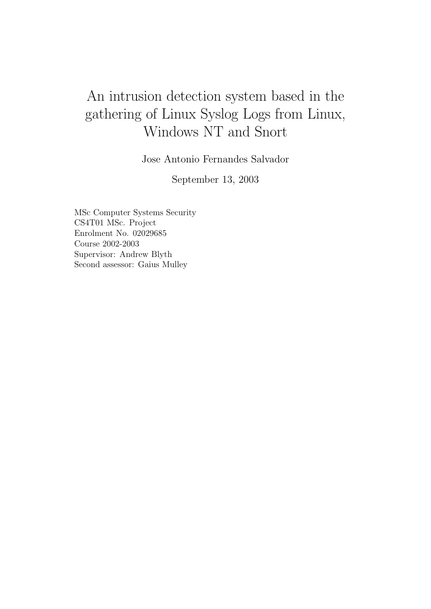# An intrusion detection system based in the gathering of Linux Syslog Logs from Linux, Windows NT and Snort

Jose Antonio Fernandes Salvador

September 13, 2003

MSc Computer Systems Security CS4T01 MSc. Project Enrolment No. 02029685 Course 2002-2003 Supervisor: Andrew Blyth Second assessor: Gaius Mulley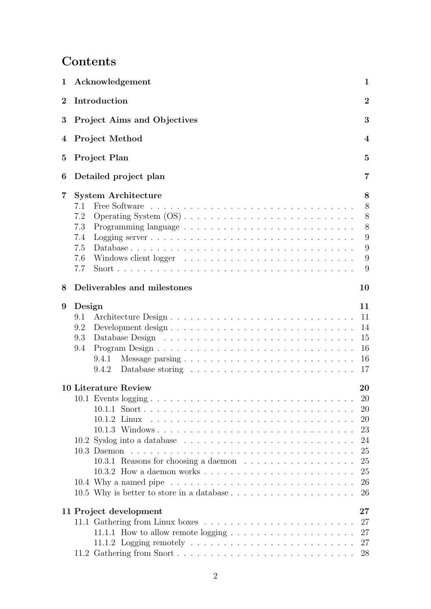# **Contents**

| $\mathbf 1$    |        | Acknowledgement                                                                   | 1              |
|----------------|--------|-----------------------------------------------------------------------------------|----------------|
| $\overline{2}$ |        | Introduction                                                                      | $\overline{2}$ |
| 3              |        | Project Aims and Objectives                                                       | 3              |
| 4              |        | <b>Project Method</b>                                                             | 4              |
| 5              |        | Project Plan                                                                      | $\overline{5}$ |
| 6              |        | Detailed project plan                                                             | 7              |
| 7              |        | <b>System Architecture</b>                                                        | 8              |
|                | 7.1    |                                                                                   | 8              |
|                | 7.2    |                                                                                   | 8              |
|                | 7.3    |                                                                                   | 8              |
|                | 7.4    |                                                                                   | 9              |
|                | 7.5    |                                                                                   | 9              |
|                | 7.6    |                                                                                   | 9              |
|                | 7.7    |                                                                                   | 9              |
| 8              |        | Deliverables and milestones                                                       | 10             |
| 9              | Design |                                                                                   | 11             |
|                | 9.1    |                                                                                   | 11             |
|                |        |                                                                                   |                |
|                | 9.2    |                                                                                   | 14             |
|                | 9.3    |                                                                                   | 15             |
|                | 9.4    |                                                                                   | 16             |
|                |        | 9.4.1                                                                             | 16             |
|                |        | 9.4.2                                                                             | 17             |
|                |        | <b>10 Literature Review</b>                                                       | 20             |
|                |        | 10.1 Events logging                                                               | 20             |
|                |        |                                                                                   | 20             |
|                |        |                                                                                   | 20             |
|                |        |                                                                                   | 23             |
|                |        |                                                                                   | 24             |
|                |        |                                                                                   | 25             |
|                |        |                                                                                   | 25             |
|                |        |                                                                                   | 25             |
|                |        |                                                                                   |                |
|                |        |                                                                                   | 26<br>26       |
|                |        |                                                                                   |                |
|                |        | 11 Project development                                                            | $27\,$         |
|                |        |                                                                                   | 27             |
|                |        | 11.1.1 How to allow remote logging $\dots \dots \dots \dots \dots \dots \dots$    | 27             |
|                |        | 11.1.2 Logging remotely $\ldots \ldots \ldots \ldots \ldots \ldots \ldots \ldots$ | 27             |
|                |        |                                                                                   | 28             |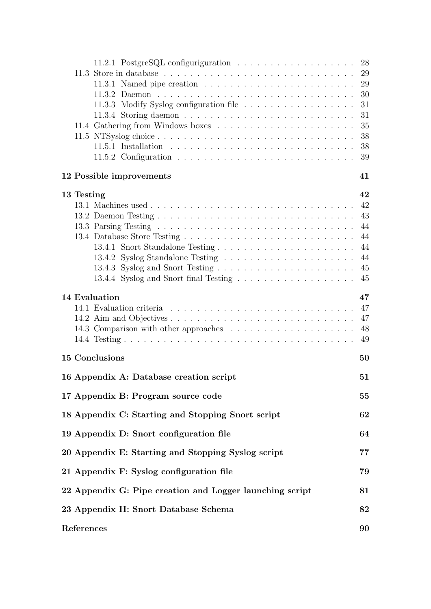|                                                                                      | 28<br>29 |  |  |
|--------------------------------------------------------------------------------------|----------|--|--|
| 11.3.1 Named pipe creation $\ldots \ldots \ldots \ldots \ldots \ldots \ldots \ldots$ | 29       |  |  |
|                                                                                      | 30       |  |  |
|                                                                                      | 31       |  |  |
|                                                                                      | 31       |  |  |
| 11.4 Gathering from Windows boxes $\ldots \ldots \ldots \ldots \ldots \ldots \ldots$ | 35       |  |  |
|                                                                                      | 38       |  |  |
|                                                                                      | 38       |  |  |
|                                                                                      | 39       |  |  |
| 12 Possible improvements                                                             | 41       |  |  |
| 13 Testing                                                                           | 42       |  |  |
|                                                                                      | 42       |  |  |
|                                                                                      | 43       |  |  |
|                                                                                      | 44       |  |  |
|                                                                                      | 44       |  |  |
|                                                                                      | 44       |  |  |
|                                                                                      | 44       |  |  |
|                                                                                      | 45<br>45 |  |  |
|                                                                                      |          |  |  |
| 14 Evaluation                                                                        | 47       |  |  |
|                                                                                      | 47       |  |  |
|                                                                                      | 47<br>48 |  |  |
|                                                                                      | 49       |  |  |
| 15 Conclusions                                                                       | 50       |  |  |
| 16 Appendix A: Database creation script                                              | 51       |  |  |
|                                                                                      |          |  |  |
| 17 Appendix B: Program source code                                                   | 55       |  |  |
| 18 Appendix C: Starting and Stopping Snort script                                    | 62       |  |  |
| 19 Appendix D: Snort configuration file                                              | 64       |  |  |
| 20 Appendix E: Starting and Stopping Syslog script                                   | 77       |  |  |
| 21 Appendix F: Syslog configuration file                                             | 79       |  |  |
| 22 Appendix G: Pipe creation and Logger launching script                             | 81       |  |  |
| 23 Appendix H: Snort Database Schema                                                 | 82       |  |  |
| References                                                                           |          |  |  |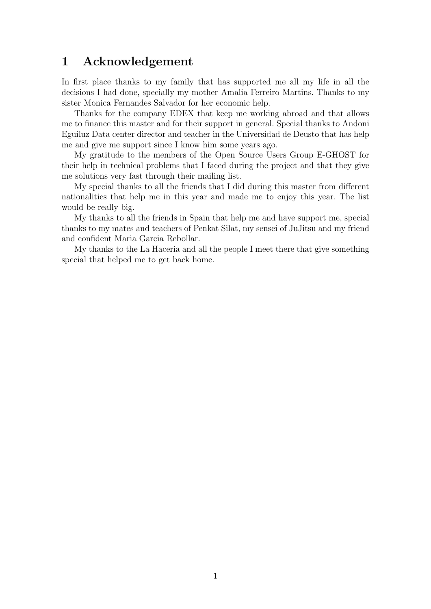# 1 Acknowledgement

In first place thanks to my family that has supported me all my life in all the decisions I had done, specially my mother Amalia Ferreiro Martins. Thanks to my sister Monica Fernandes Salvador for her economic help.

Thanks for the company EDEX that keep me working abroad and that allows me to finance this master and for their support in general. Special thanks to Andoni Eguiluz Data center director and teacher in the Universidad de Deusto that has help me and give me support since I know him some years ago.

My gratitude to the members of the Open Source Users Group E-GHOST for their help in technical problems that I faced during the project and that they give me solutions very fast through their mailing list.

My special thanks to all the friends that I did during this master from different nationalities that help me in this year and made me to enjoy this year. The list would be really big.

My thanks to all the friends in Spain that help me and have support me, special thanks to my mates and teachers of Penkat Silat, my sensei of JuJitsu and my friend and confident Maria Garcia Rebollar.

My thanks to the La Haceria and all the people I meet there that give something special that helped me to get back home.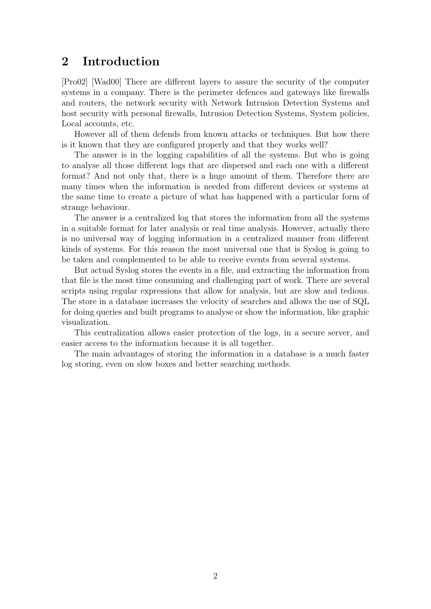# 2 Introduction

[Pro02] [Wad00] There are different layers to assure the security of the computer systems in a company. There is the perimeter defences and gateways like firewalls and routers, the network security with Network Intrusion Detection Systems and host security with personal firewalls, Intrusion Detection Systems, System policies, Local accounts, etc.

However all of them defends from known attacks or techniques. But how there is it known that they are configured properly and that they works well?

The answer is in the logging capabilities of all the systems. But who is going to analyse all those different logs that are dispersed and each one with a different format? And not only that, there is a huge amount of them. Therefore there are many times when the information is needed from different devices or systems at the same time to create a picture of what has happened with a particular form of strange behaviour.

The answer is a centralized log that stores the information from all the systems in a suitable format for later analysis or real time analysis. However, actually there is no universal way of logging information in a centralized manner from different kinds of systems. For this reason the most universal one that is Syslog is going to be taken and complemented to be able to receive events from several systems.

But actual Syslog stores the events in a file, and extracting the information from that file is the most time consuming and challenging part of work. There are several scripts using regular expressions that allow for analysis, but are slow and tedious. The store in a database increases the velocity of searches and allows the use of SQL for doing queries and built programs to analyse or show the information, like graphic visualization.

This centralization allows easier protection of the logs, in a secure server, and easier access to the information because it is all together.

The main advantages of storing the information in a database is a much faster log storing, even on slow boxes and better searching methods.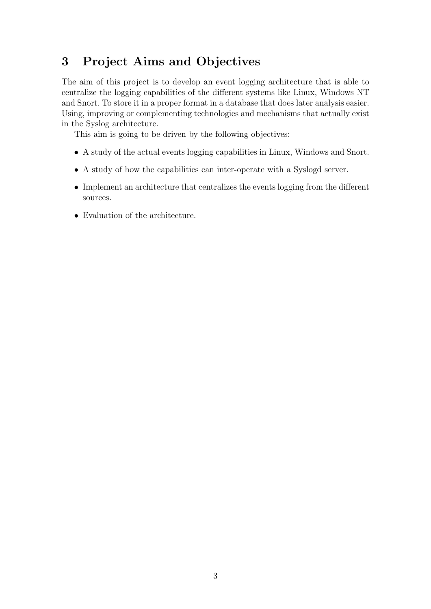# 3 Project Aims and Objectives

The aim of this project is to develop an event logging architecture that is able to centralize the logging capabilities of the different systems like Linux, Windows NT and Snort. To store it in a proper format in a database that does later analysis easier. Using, improving or complementing technologies and mechanisms that actually exist in the Syslog architecture.

This aim is going to be driven by the following objectives:

- A study of the actual events logging capabilities in Linux, Windows and Snort.
- A study of how the capabilities can inter-operate with a Syslogd server.
- Implement an architecture that centralizes the events logging from the different sources.
- Evaluation of the architecture.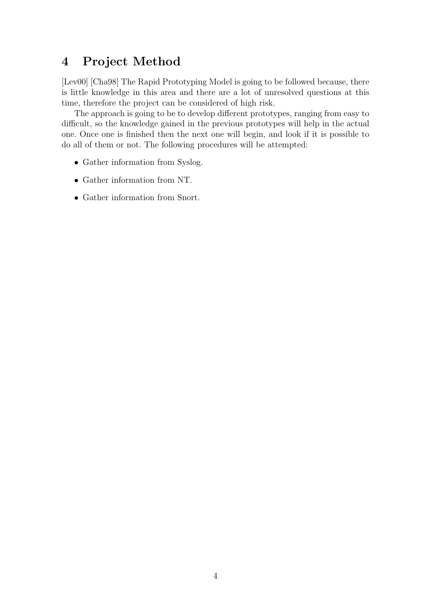# 4 Project Method

[Lev00] [Cha98] The Rapid Prototyping Model is going to be followed because, there is little knowledge in this area and there are a lot of unresolved questions at this time, therefore the project can be considered of high risk.

The approach is going to be to develop different prototypes, ranging from easy to difficult, so the knowledge gained in the previous prototypes will help in the actual one. Once one is finished then the next one will begin, and look if it is possible to do all of them or not. The following procedures will be attempted:

- Gather information from Syslog.
- Gather information from NT.
- Gather information from Snort.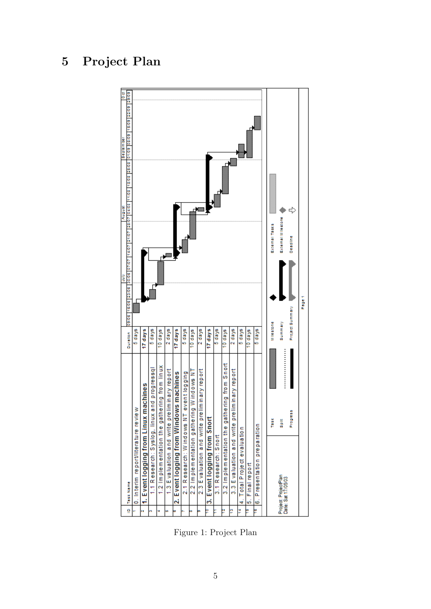# 5 Project Plan



Figure 1: Project Plan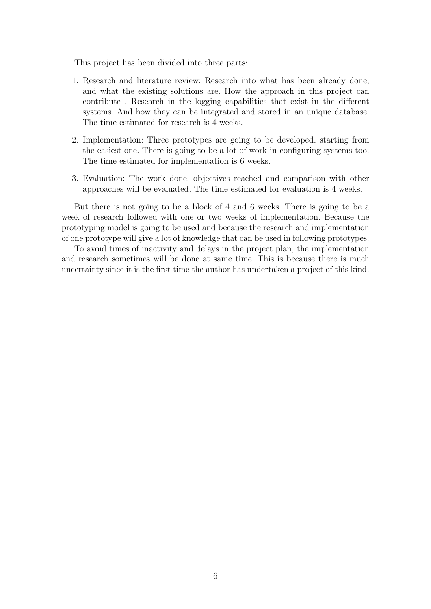This project has been divided into three parts:

- 1. Research and literature review: Research into what has been already done, and what the existing solutions are. How the approach in this project can contribute . Research in the logging capabilities that exist in the different systems. And how they can be integrated and stored in an unique database. The time estimated for research is 4 weeks.
- 2. Implementation: Three prototypes are going to be developed, starting from the easiest one. There is going to be a lot of work in configuring systems too. The time estimated for implementation is 6 weeks.
- 3. Evaluation: The work done, objectives reached and comparison with other approaches will be evaluated. The time estimated for evaluation is 4 weeks.

But there is not going to be a block of 4 and 6 weeks. There is going to be a week of research followed with one or two weeks of implementation. Because the prototyping model is going to be used and because the research and implementation of one prototype will give a lot of knowledge that can be used in following prototypes.

To avoid times of inactivity and delays in the project plan, the implementation and research sometimes will be done at same time. This is because there is much uncertainty since it is the first time the author has undertaken a project of this kind.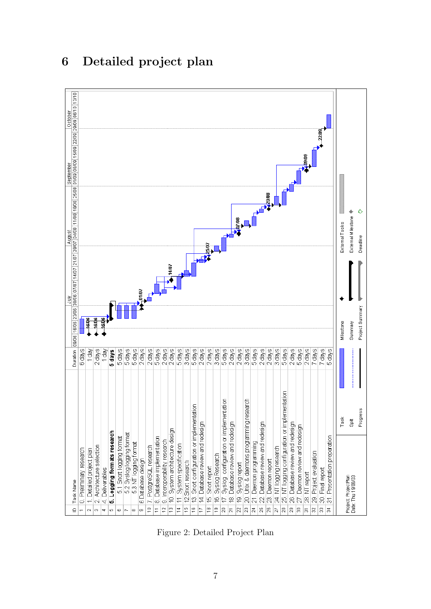

# 6 Detailed project plan

Figure 2: Detailed Project Plan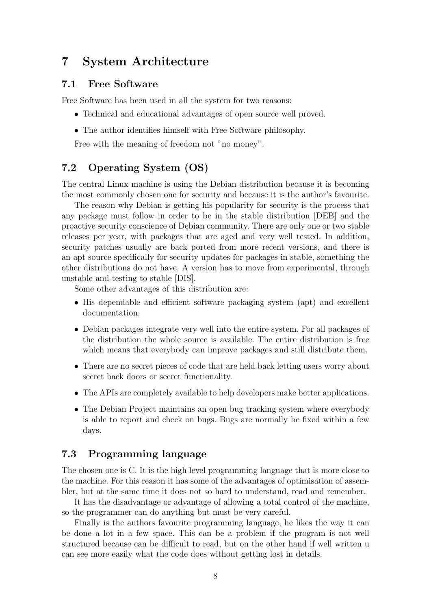# 7 System Architecture

#### 7.1 Free Software

Free Software has been used in all the system for two reasons:

- Technical and educational advantages of open source well proved.
- The author identifies himself with Free Software philosophy.

Free with the meaning of freedom not "no money".

## 7.2 Operating System (OS)

The central Linux machine is using the Debian distribution because it is becoming the most commonly chosen one for security and because it is the author's favourite.

The reason why Debian is getting his popularity for security is the process that any package must follow in order to be in the stable distribution [DEB] and the proactive security conscience of Debian community. There are only one or two stable releases per year, with packages that are aged and very well tested. In addition, security patches usually are back ported from more recent versions, and there is an apt source specifically for security updates for packages in stable, something the other distributions do not have. A version has to move from experimental, through unstable and testing to stable [DIS].

Some other advantages of this distribution are:

- His dependable and efficient software packaging system (apt) and excellent documentation.
- Debian packages integrate very well into the entire system. For all packages of the distribution the whole source is available. The entire distribution is free which means that everybody can improve packages and still distribute them.
- There are no secret pieces of code that are held back letting users worry about secret back doors or secret functionality.
- The APIs are completely available to help developers make better applications.
- The Debian Project maintains an open bug tracking system where everybody is able to report and check on bugs. Bugs are normally be fixed within a few days.

### 7.3 Programming language

The chosen one is C. It is the high level programming language that is more close to the machine. For this reason it has some of the advantages of optimisation of assembler, but at the same time it does not so hard to understand, read and remember.

It has the disadvantage or advantage of allowing a total control of the machine, so the programmer can do anything but must be very careful.

Finally is the authors favourite programming language, he likes the way it can be done a lot in a few space. This can be a problem if the program is not well structured because can be difficult to read, but on the other hand if well written u can see more easily what the code does without getting lost in details.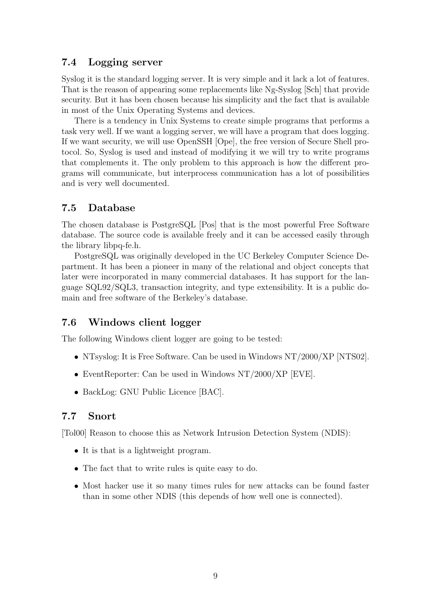## 7.4 Logging server

Syslog it is the standard logging server. It is very simple and it lack a lot of features. That is the reason of appearing some replacements like Ng-Syslog [Sch] that provide security. But it has been chosen because his simplicity and the fact that is available in most of the Unix Operating Systems and devices.

There is a tendency in Unix Systems to create simple programs that performs a task very well. If we want a logging server, we will have a program that does logging. If we want security, we will use OpenSSH [Ope], the free version of Secure Shell protocol. So, Syslog is used and instead of modifying it we will try to write programs that complements it. The only problem to this approach is how the different programs will communicate, but interprocess communication has a lot of possibilities and is very well documented.

## 7.5 Database

The chosen database is PostgreSQL [Pos] that is the most powerful Free Software database. The source code is available freely and it can be accessed easily through the library libpq-fe.h.

PostgreSQL was originally developed in the UC Berkeley Computer Science Department. It has been a pioneer in many of the relational and object concepts that later were incorporated in many commercial databases. It has support for the language SQL92/SQL3, transaction integrity, and type extensibility. It is a public domain and free software of the Berkeley's database.

## 7.6 Windows client logger

The following Windows client logger are going to be tested:

- NTsyslog: It is Free Software. Can be used in Windows NT/2000/XP [NTS02].
- EventReporter: Can be used in Windows NT/2000/XP [EVE].
- BackLog: GNU Public Licence [BAC].

## 7.7 Snort

[Tol00] Reason to choose this as Network Intrusion Detection System (NDIS):

- It is that is a lightweight program.
- The fact that to write rules is quite easy to do.
- Most hacker use it so many times rules for new attacks can be found faster than in some other NDIS (this depends of how well one is connected).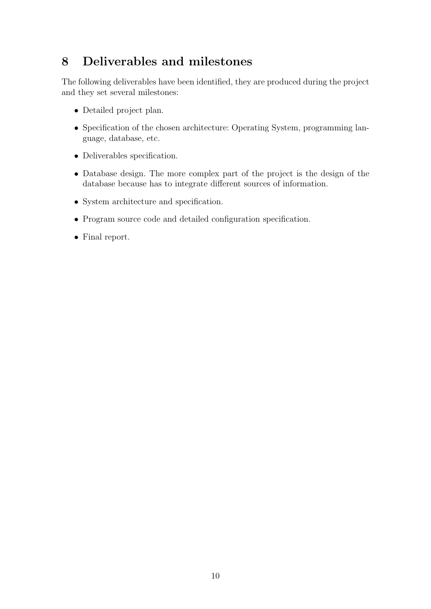# 8 Deliverables and milestones

The following deliverables have been identified, they are produced during the project and they set several milestones:

- Detailed project plan.
- Specification of the chosen architecture: Operating System, programming language, database, etc.
- Deliverables specification.
- Database design. The more complex part of the project is the design of the database because has to integrate different sources of information.
- System architecture and specification.
- Program source code and detailed configuration specification.
- Final report.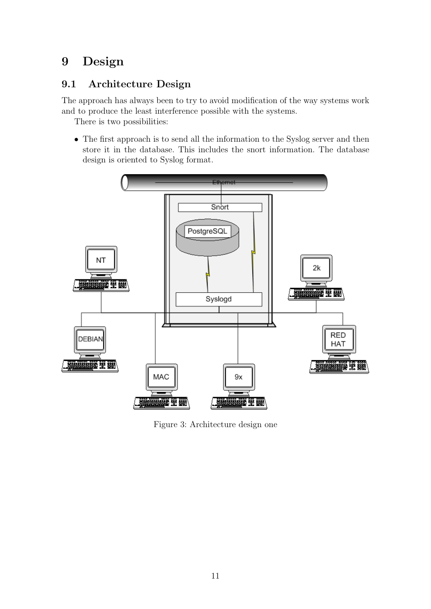# 9 Design

## 9.1 Architecture Design

The approach has always been to try to avoid modification of the way systems work and to produce the least interference possible with the systems.

There is two possibilities:

• The first approach is to send all the information to the Syslog server and then store it in the database. This includes the snort information. The database design is oriented to Syslog format.



Figure 3: Architecture design one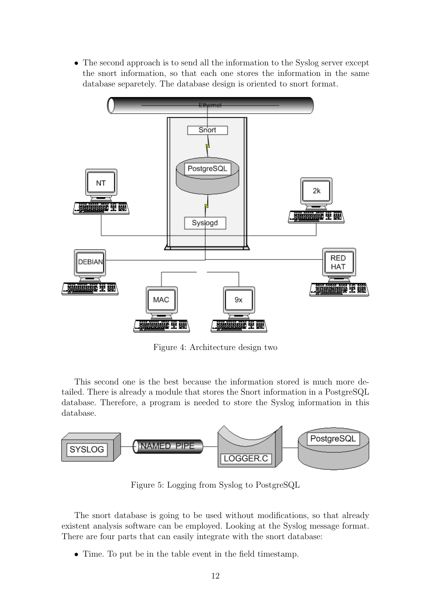• The second approach is to send all the information to the Syslog server except the snort information, so that each one stores the information in the same database separetely. The database design is oriented to snort format.



Figure 4: Architecture design two

This second one is the best because the information stored is much more detailed. There is already a module that stores the Snort information in a PostgreSQL database. Therefore, a program is needed to store the Syslog information in this database.



Figure 5: Logging from Syslog to PostgreSQL

The snort database is going to be used without modifications, so that already existent analysis software can be employed. Looking at the Syslog message format. There are four parts that can easily integrate with the snort database:

• Time. To put be in the table event in the field timestamp.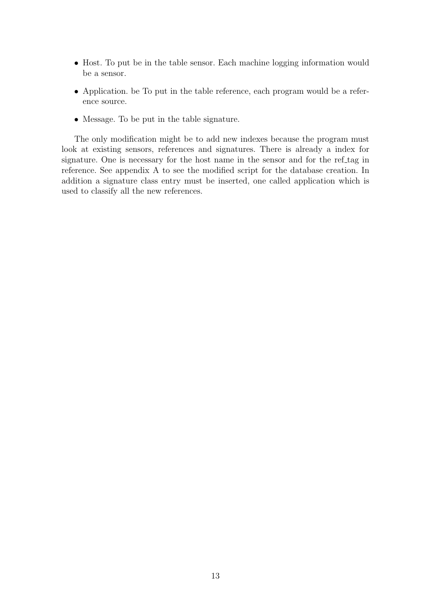- Host. To put be in the table sensor. Each machine logging information would be a sensor.
- Application. be To put in the table reference, each program would be a reference source.
- Message. To be put in the table signature.

The only modification might be to add new indexes because the program must look at existing sensors, references and signatures. There is already a index for signature. One is necessary for the host name in the sensor and for the ref-tag in reference. See appendix A to see the modified script for the database creation. In addition a signature class entry must be inserted, one called application which is used to classify all the new references.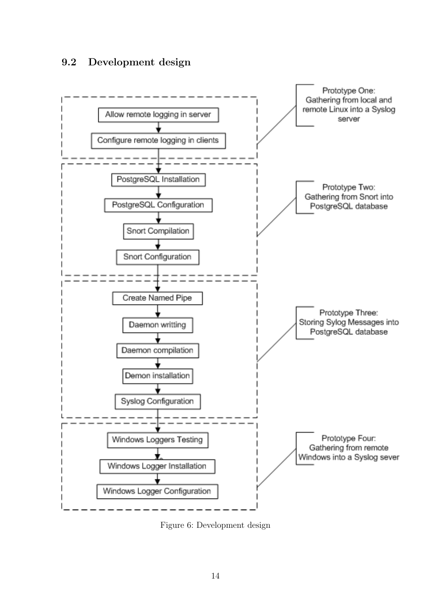## 9.2 Development design



Figure 6: Development design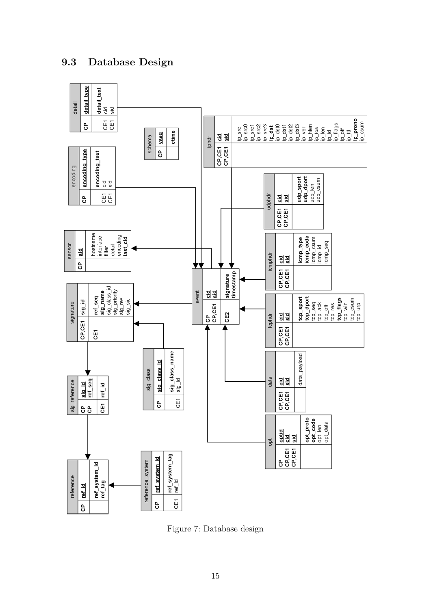

9.3 Database Design

Figure 7: Database design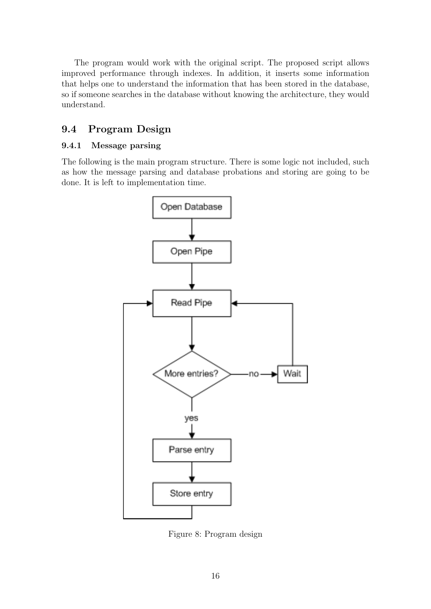The program would work with the original script. The proposed script allows improved performance through indexes. In addition, it inserts some information that helps one to understand the information that has been stored in the database, so if someone searches in the database without knowing the architecture, they would understand.

## 9.4 Program Design

#### 9.4.1 Message parsing

The following is the main program structure. There is some logic not included, such as how the message parsing and database probations and storing are going to be done. It is left to implementation time.



Figure 8: Program design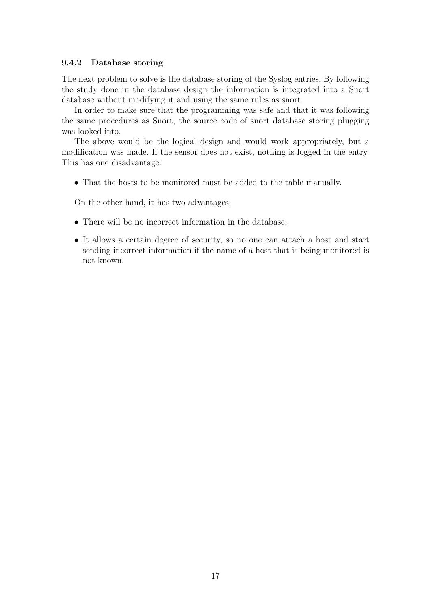#### 9.4.2 Database storing

The next problem to solve is the database storing of the Syslog entries. By following the study done in the database design the information is integrated into a Snort database without modifying it and using the same rules as snort.

In order to make sure that the programming was safe and that it was following the same procedures as Snort, the source code of snort database storing plugging was looked into.

The above would be the logical design and would work appropriately, but a modification was made. If the sensor does not exist, nothing is logged in the entry. This has one disadvantage:

• That the hosts to be monitored must be added to the table manually.

On the other hand, it has two advantages:

- There will be no incorrect information in the database.
- It allows a certain degree of security, so no one can attach a host and start sending incorrect information if the name of a host that is being monitored is not known.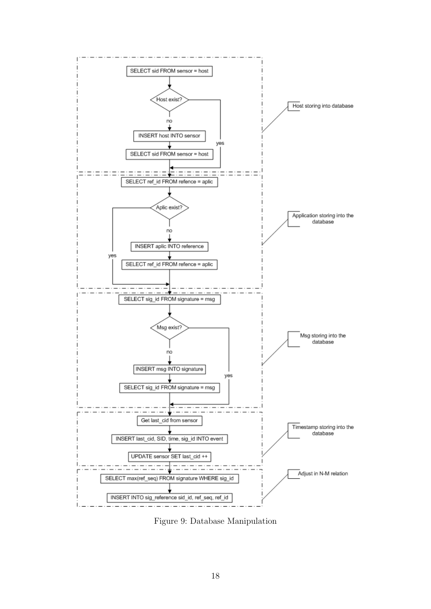

Figure 9: Database Manipulation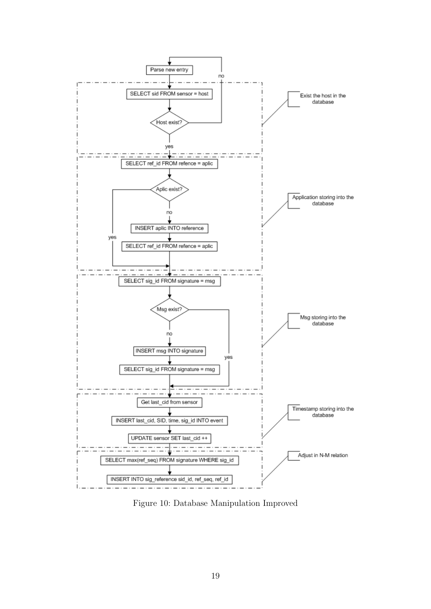

Figure 10: Database Manipulation Improved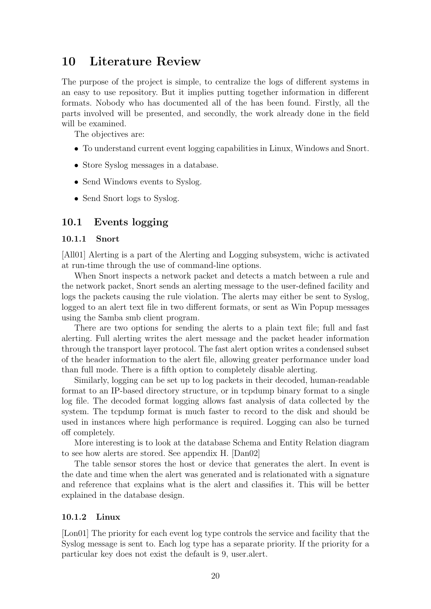# 10 Literature Review

The purpose of the project is simple, to centralize the logs of different systems in an easy to use repository. But it implies putting together information in different formats. Nobody who has documented all of the has been found. Firstly, all the parts involved will be presented, and secondly, the work already done in the field will be examined.

The objectives are:

- To understand current event logging capabilities in Linux, Windows and Snort.
- Store Syslog messages in a database.
- Send Windows events to Syslog.
- Send Snort logs to Syslog.

### 10.1 Events logging

#### 10.1.1 Snort

[All01] Alerting is a part of the Alerting and Logging subsystem, wichc is activated at run-time through the use of command-line options.

When Snort inspects a network packet and detects a match between a rule and the network packet, Snort sends an alerting message to the user-defined facility and logs the packets causing the rule violation. The alerts may either be sent to Syslog, logged to an alert text file in two different formats, or sent as Win Popup messages using the Samba smb client program.

There are two options for sending the alerts to a plain text file; full and fast alerting. Full alerting writes the alert message and the packet header information through the transport layer protocol. The fast alert option writes a condensed subset of the header information to the alert file, allowing greater performance under load than full mode. There is a fifth option to completely disable alerting.

Similarly, logging can be set up to log packets in their decoded, human-readable format to an IP-based directory structure, or in tcpdump binary format to a single log file. The decoded format logging allows fast analysis of data collected by the system. The tcpdump format is much faster to record to the disk and should be used in instances where high performance is required. Logging can also be turned off completely.

More interesting is to look at the database Schema and Entity Relation diagram to see how alerts are stored. See appendix H. [Dan02]

The table sensor stores the host or device that generates the alert. In event is the date and time when the alert was generated and is relationated with a signature and reference that explains what is the alert and classifies it. This will be better explained in the database design.

#### 10.1.2 Linux

[Lon01] The priority for each event log type controls the service and facility that the Syslog message is sent to. Each log type has a separate priority. If the priority for a particular key does not exist the default is 9, user.alert.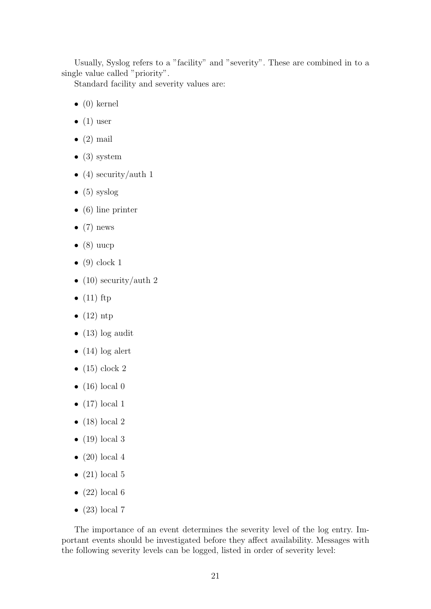Usually, Syslog refers to a "facility" and "severity". These are combined in to a single value called "priority".

Standard facility and severity values are:

- $\bullet$  (0) kernel
- $\bullet$  (1) user
- $\bullet$  (2) mail
- $(3)$  system
- (4) security/auth 1
- $\bullet$  (5) syslog
- $\bullet$  (6) line printer
- $\bullet$  (7) news
- $\bullet$  (8) uucp
- $\bullet$  (9) clock 1
- (10) security/auth 2
- $\bullet$  (11) ftp
- $\bullet$  (12) ntp
- $\bullet$  (13) log audit
- $(14)$  log alert
- $\bullet$  (15) clock 2
- $\bullet$  (16) local 0
- $\bullet$  (17) local 1
- $\bullet$  (18) local 2
- $\bullet$  (19) local 3
- $\bullet$  (20) local 4
- $(21)$  local 5
- $(22)$  local 6
- $(23)$  local 7

The importance of an event determines the severity level of the log entry. Important events should be investigated before they affect availability. Messages with the following severity levels can be logged, listed in order of severity level: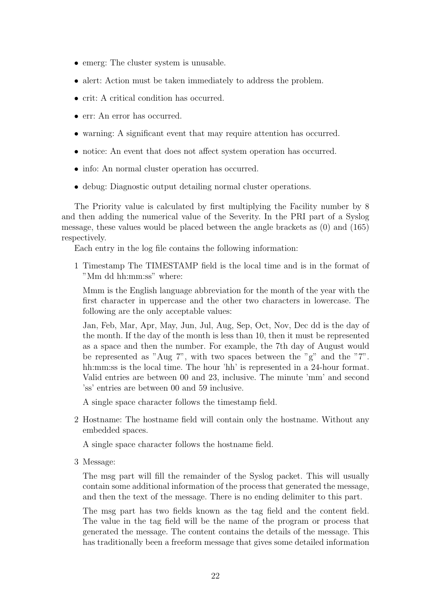- emerg: The cluster system is unusable.
- alert: Action must be taken immediately to address the problem.
- crit: A critical condition has occurred.
- err: An error has occurred.
- warning: A significant event that may require attention has occurred.
- notice: An event that does not affect system operation has occurred.
- info: An normal cluster operation has occurred.
- debug: Diagnostic output detailing normal cluster operations.

The Priority value is calculated by first multiplying the Facility number by 8 and then adding the numerical value of the Severity. In the PRI part of a Syslog message, these values would be placed between the angle brackets as (0) and (165) respectively.

Each entry in the log file contains the following information:

1 Timestamp The TIMESTAMP field is the local time and is in the format of "Mm dd hh:mm:ss" where:

Mmm is the English language abbreviation for the month of the year with the first character in uppercase and the other two characters in lowercase. The following are the only acceptable values:

Jan, Feb, Mar, Apr, May, Jun, Jul, Aug, Sep, Oct, Nov, Dec dd is the day of the month. If the day of the month is less than 10, then it must be represented as a space and then the number. For example, the 7th day of August would be represented as "Aug 7", with two spaces between the "g" and the "7". hh:mm:ss is the local time. The hour 'hh' is represented in a 24-hour format. Valid entries are between 00 and 23, inclusive. The minute 'mm' and second 'ss' entries are between 00 and 59 inclusive.

A single space character follows the timestamp field.

2 Hostname: The hostname field will contain only the hostname. Without any embedded spaces.

A single space character follows the hostname field.

3 Message:

The msg part will fill the remainder of the Syslog packet. This will usually contain some additional information of the process that generated the message, and then the text of the message. There is no ending delimiter to this part.

The msg part has two fields known as the tag field and the content field. The value in the tag field will be the name of the program or process that generated the message. The content contains the details of the message. This has traditionally been a freeform message that gives some detailed information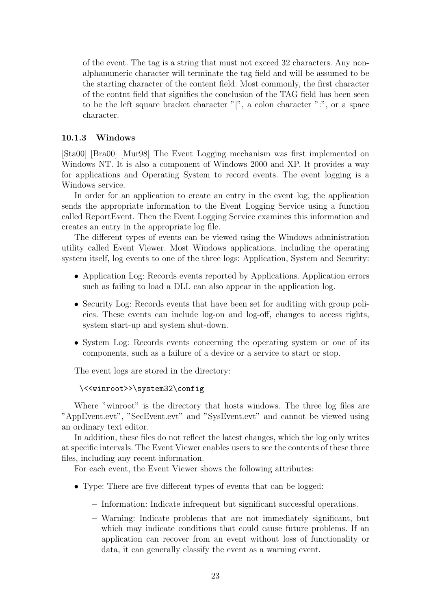of the event. The tag is a string that must not exceed 32 characters. Any nonalphanumeric character will terminate the tag field and will be assumed to be the starting character of the content field. Most commonly, the first character of the contnt field that signifies the conclusion of the TAG field has been seen to be the left square bracket character "[", a colon character ":", or a space character.

### 10.1.3 Windows

[Sta00] [Bra00] [Mur98] The Event Logging mechanism was first implemented on Windows NT. It is also a component of Windows 2000 and XP. It provides a way for applications and Operating System to record events. The event logging is a Windows service.

In order for an application to create an entry in the event log, the application sends the appropriate information to the Event Logging Service using a function called ReportEvent. Then the Event Logging Service examines this information and creates an entry in the appropriate log file.

The different types of events can be viewed using the Windows administration utility called Event Viewer. Most Windows applications, including the operating system itself, log events to one of the three logs: Application, System and Security:

- Application Log: Records events reported by Applications. Application errors such as failing to load a DLL can also appear in the application log.
- Security Log: Records events that have been set for auditing with group policies. These events can include log-on and log-off, changes to access rights, system start-up and system shut-down.
- System Log: Records events concerning the operating system or one of its components, such as a failure of a device or a service to start or stop.

The event logs are stored in the directory:

```
\<<winroot>>\system32\config
```
Where "winroot" is the directory that hosts windows. The three log files are "AppEvent.evt", "SecEvent.evt" and "SysEvent.evt" and cannot be viewed using an ordinary text editor.

In addition, these files do not reflect the latest changes, which the log only writes at specific intervals. The Event Viewer enables users to see the contents of these three files, including any recent information.

For each event, the Event Viewer shows the following attributes:

- Type: There are five different types of events that can be logged:
	- Information: Indicate infrequent but significant successful operations.
	- Warning: Indicate problems that are not immediately significant, but which may indicate conditions that could cause future problems. If an application can recover from an event without loss of functionality or data, it can generally classify the event as a warning event.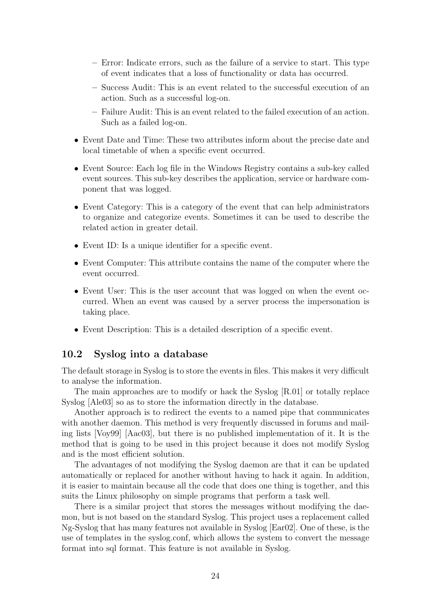- Error: Indicate errors, such as the failure of a service to start. This type of event indicates that a loss of functionality or data has occurred.
- Success Audit: This is an event related to the successful execution of an action. Such as a successful log-on.
- Failure Audit: This is an event related to the failed execution of an action. Such as a failed log-on.
- Event Date and Time: These two attributes inform about the precise date and local timetable of when a specific event occurred.
- Event Source: Each log file in the Windows Registry contains a sub-key called event sources. This sub-key describes the application, service or hardware component that was logged.
- Event Category: This is a category of the event that can help administrators to organize and categorize events. Sometimes it can be used to describe the related action in greater detail.
- Event ID: Is a unique identifier for a specific event.
- Event Computer: This attribute contains the name of the computer where the event occurred.
- Event User: This is the user account that was logged on when the event occurred. When an event was caused by a server process the impersonation is taking place.
- Event Description: This is a detailed description of a specific event.

### 10.2 Syslog into a database

The default storage in Syslog is to store the events in files. This makes it very difficult to analyse the information.

The main approaches are to modify or hack the Syslog [R.01] or totally replace Syslog [Ale03] so as to store the information directly in the database.

Another approach is to redirect the events to a named pipe that communicates with another daemon. This method is very frequently discussed in forums and mailing lists [Voy99] [Aac03], but there is no published implementation of it. It is the method that is going to be used in this project because it does not modify Syslog and is the most efficient solution.

The advantages of not modifying the Syslog daemon are that it can be updated automatically or replaced for another without having to hack it again. In addition, it is easier to maintain because all the code that does one thing is together, and this suits the Linux philosophy on simple programs that perform a task well.

There is a similar project that stores the messages without modifying the daemon, but is not based on the standard Syslog. This project uses a replacement called Ng-Syslog that has many features not available in Syslog [Ear02]. One of these, is the use of templates in the syslog.conf, which allows the system to convert the message format into sql format. This feature is not available in Syslog.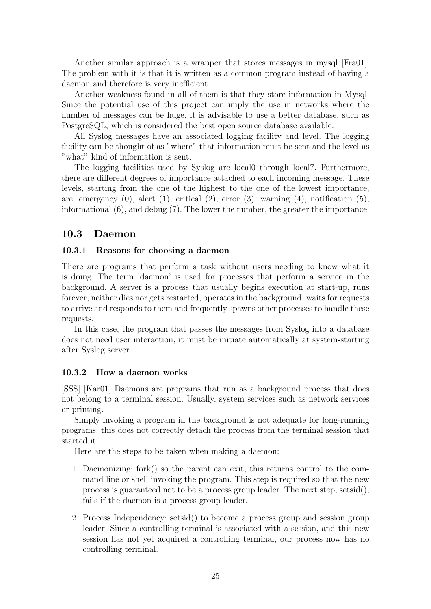Another similar approach is a wrapper that stores messages in mysql [Fra01]. The problem with it is that it is written as a common program instead of having a daemon and therefore is very inefficient.

Another weakness found in all of them is that they store information in Mysql. Since the potential use of this project can imply the use in networks where the number of messages can be huge, it is advisable to use a better database, such as PostgreSQL, which is considered the best open source database available.

All Syslog messages have an associated logging facility and level. The logging facility can be thought of as "where" that information must be sent and the level as "what" kind of information is sent.

The logging facilities used by Syslog are local0 through local7. Furthermore, there are different degrees of importance attached to each incoming message. These levels, starting from the one of the highest to the one of the lowest importance, are: emergency  $(0)$ , alert  $(1)$ , critical  $(2)$ , error  $(3)$ , warning  $(4)$ , notification  $(5)$ , informational (6), and debug (7). The lower the number, the greater the importance.

#### 10.3 Daemon

#### 10.3.1 Reasons for choosing a daemon

There are programs that perform a task without users needing to know what it is doing. The term 'daemon' is used for processes that perform a service in the background. A server is a process that usually begins execution at start-up, runs forever, neither dies nor gets restarted, operates in the background, waits for requests to arrive and responds to them and frequently spawns other processes to handle these requests.

In this case, the program that passes the messages from Syslog into a database does not need user interaction, it must be initiate automatically at system-starting after Syslog server.

#### 10.3.2 How a daemon works

[SSS] [Kar01] Daemons are programs that run as a background process that does not belong to a terminal session. Usually, system services such as network services or printing.

Simply invoking a program in the background is not adequate for long-running programs; this does not correctly detach the process from the terminal session that started it.

Here are the steps to be taken when making a daemon:

- 1. Daemonizing: fork() so the parent can exit, this returns control to the command line or shell invoking the program. This step is required so that the new process is guaranteed not to be a process group leader. The next step, setsid(), fails if the daemon is a process group leader.
- 2. Process Independency: setsid() to become a process group and session group leader. Since a controlling terminal is associated with a session, and this new session has not yet acquired a controlling terminal, our process now has no controlling terminal.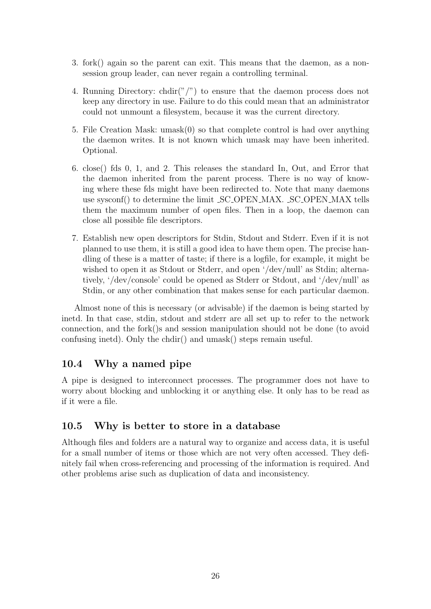- 3. fork() again so the parent can exit. This means that the daemon, as a nonsession group leader, can never regain a controlling terminal.
- 4. Running Directory: chdir("/") to ensure that the daemon process does not keep any directory in use. Failure to do this could mean that an administrator could not unmount a filesystem, because it was the current directory.
- 5. File Creation Mask: umask(0) so that complete control is had over anything the daemon writes. It is not known which umask may have been inherited. Optional.
- 6. close() fds 0, 1, and 2. This releases the standard In, Out, and Error that the daemon inherited from the parent process. There is no way of knowing where these fds might have been redirected to. Note that many daemons use sysconf() to determine the limit SC OPEN MAX. SC OPEN MAX tells them the maximum number of open files. Then in a loop, the daemon can close all possible file descriptors.
- 7. Establish new open descriptors for Stdin, Stdout and Stderr. Even if it is not planned to use them, it is still a good idea to have them open. The precise handling of these is a matter of taste; if there is a logfile, for example, it might be wished to open it as Stdout or Stderr, and open '/dev/null' as Stdin; alternatively, '/dev/console' could be opened as Stderr or Stdout, and '/dev/null' as Stdin, or any other combination that makes sense for each particular daemon.

Almost none of this is necessary (or advisable) if the daemon is being started by inetd. In that case, stdin, stdout and stderr are all set up to refer to the network connection, and the fork()s and session manipulation should not be done (to avoid confusing inetd). Only the chdir() and umask() steps remain useful.

## 10.4 Why a named pipe

A pipe is designed to interconnect processes. The programmer does not have to worry about blocking and unblocking it or anything else. It only has to be read as if it were a file.

## 10.5 Why is better to store in a database

Although files and folders are a natural way to organize and access data, it is useful for a small number of items or those which are not very often accessed. They definitely fail when cross-referencing and processing of the information is required. And other problems arise such as duplication of data and inconsistency.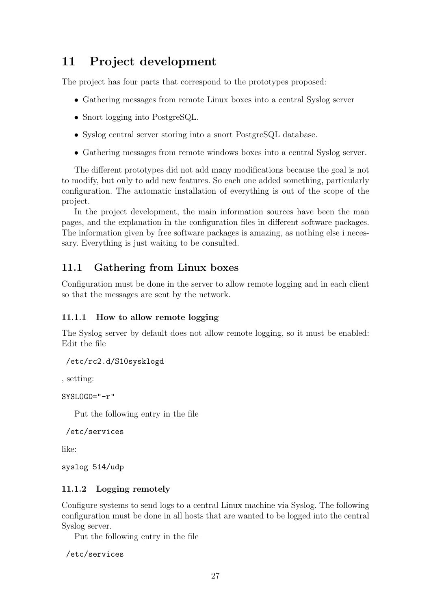# 11 Project development

The project has four parts that correspond to the prototypes proposed:

- Gathering messages from remote Linux boxes into a central Syslog server
- Snort logging into PostgreSQL.
- Syslog central server storing into a snort PostgreSQL database.
- Gathering messages from remote windows boxes into a central Syslog server.

The different prototypes did not add many modifications because the goal is not to modify, but only to add new features. So each one added something, particularly configuration. The automatic installation of everything is out of the scope of the project.

In the project development, the main information sources have been the man pages, and the explanation in the configuration files in different software packages. The information given by free software packages is amazing, as nothing else i necessary. Everything is just waiting to be consulted.

# 11.1 Gathering from Linux boxes

Configuration must be done in the server to allow remote logging and in each client so that the messages are sent by the network.

## 11.1.1 How to allow remote logging

The Syslog server by default does not allow remote logging, so it must be enabled: Edit the file

```
/etc/rc2.d/S10sysklogd
```
, setting:

SYSLOGD="-r"

Put the following entry in the file

```
/etc/services
```
like:

syslog 514/udp

## 11.1.2 Logging remotely

Configure systems to send logs to a central Linux machine via Syslog. The following configuration must be done in all hosts that are wanted to be logged into the central Syslog server.

Put the following entry in the file

/etc/services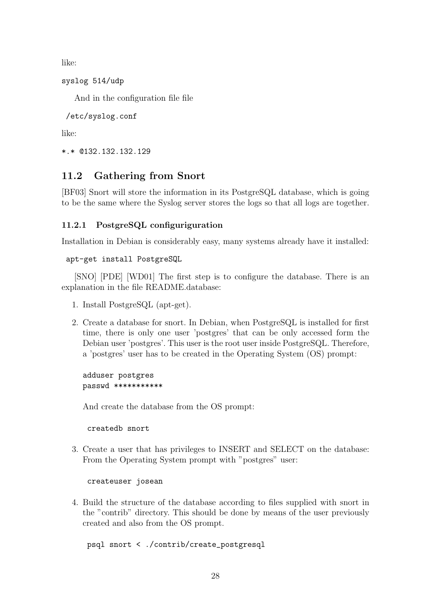like:

```
syslog 514/udp
```
And in the configuration file file

```
/etc/syslog.conf
```
like:

```
*.* @132.132.132.129
```
## 11.2 Gathering from Snort

[BF03] Snort will store the information in its PostgreSQL database, which is going to be the same where the Syslog server stores the logs so that all logs are together.

### 11.2.1 PostgreSQL configuriguration

Installation in Debian is considerably easy, many systems already have it installed:

apt-get install PostgreSQL

[SNO] [PDE] [WD01] The first step is to configure the database. There is an explanation in the file README.database:

- 1. Install PostgreSQL (apt-get).
- 2. Create a database for snort. In Debian, when PostgreSQL is installed for first time, there is only one user 'postgres' that can be only accessed form the Debian user 'postgres'. This user is the root user inside PostgreSQL. Therefore, a 'postgres' user has to be created in the Operating System (OS) prompt:

adduser postgres passwd \*\*\*\*\*\*\*\*\*\*\*

And create the database from the OS prompt:

createdb snort

3. Create a user that has privileges to INSERT and SELECT on the database: From the Operating System prompt with "postgres" user:

```
createuser josean
```
4. Build the structure of the database according to files supplied with snort in the "contrib" directory. This should be done by means of the user previously created and also from the OS prompt.

#### psql snort < ./contrib/create\_postgresql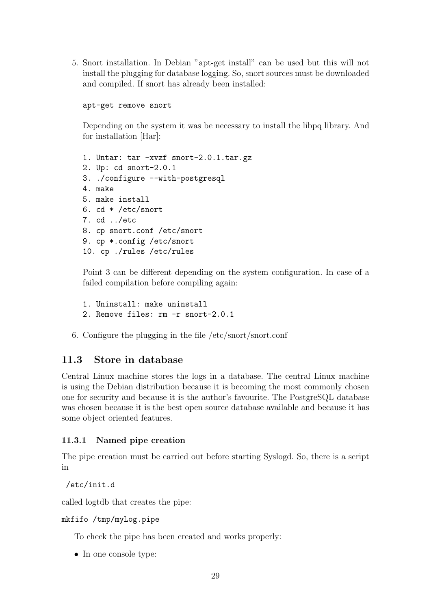5. Snort installation. In Debian "apt-get install" can be used but this will not install the plugging for database logging. So, snort sources must be downloaded and compiled. If snort has already been installed:

```
apt-get remove snort
```
Depending on the system it was be necessary to install the libpq library. And for installation [Har]:

```
1. Untar: tar -xvzf snort-2.0.1.tar.gz
2. Up: cd snort-2.0.1
3. ./configure --with-postgresql
4. make
5. make install
6. cd * /etc/snort
7. cd ../etc
8. cp snort.conf /etc/snort
9. cp *.config /etc/snort
10. cp ./rules /etc/rules
```
Point 3 can be different depending on the system configuration. In case of a failed compilation before compiling again:

- 1. Uninstall: make uninstall 2. Remove files: rm -r snort-2.0.1
- 6. Configure the plugging in the file /etc/snort/snort.conf

## 11.3 Store in database

Central Linux machine stores the logs in a database. The central Linux machine is using the Debian distribution because it is becoming the most commonly chosen one for security and because it is the author's favourite. The PostgreSQL database was chosen because it is the best open source database available and because it has some object oriented features.

#### 11.3.1 Named pipe creation

The pipe creation must be carried out before starting Syslogd. So, there is a script in

/etc/init.d

called logtdb that creates the pipe:

#### mkfifo /tmp/myLog.pipe

To check the pipe has been created and works properly:

• In one console type: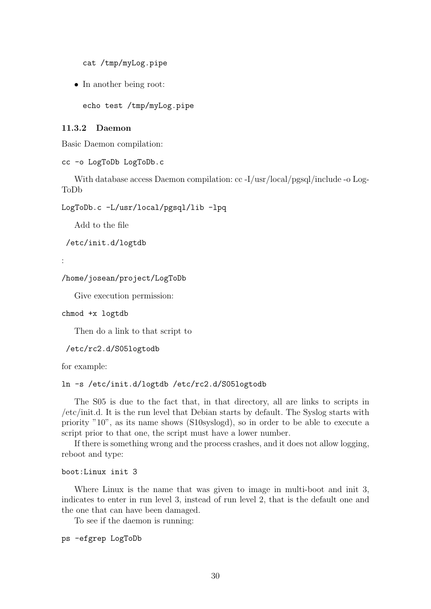cat /tmp/myLog.pipe

• In another being root:

echo test /tmp/myLog.pipe

#### 11.3.2 Daemon

Basic Daemon compilation:

```
cc -o LogToDb LogToDb.c
```
With database access Daemon compilation: cc -I/usr/local/pgsql/include -o Log-ToDb

LogToDb.c -L/usr/local/pgsql/lib -lpq

Add to the file

/etc/init.d/logtdb

:

```
/home/josean/project/LogToDb
```
Give execution permission:

```
chmod +x logtdb
```
Then do a link to that script to

/etc/rc2.d/S05logtodb

for example:

#### ln -s /etc/init.d/logtdb /etc/rc2.d/S05logtodb

The S05 is due to the fact that, in that directory, all are links to scripts in /etc/init.d. It is the run level that Debian starts by default. The Syslog starts with priority "10", as its name shows (S10syslogd), so in order to be able to execute a script prior to that one, the script must have a lower number.

If there is something wrong and the process crashes, and it does not allow logging, reboot and type:

```
boot:Linux init 3
```
Where Linux is the name that was given to image in multi-boot and init 3, indicates to enter in run level 3, instead of run level 2, that is the default one and the one that can have been damaged.

To see if the daemon is running:

```
ps -efgrep LogToDb
```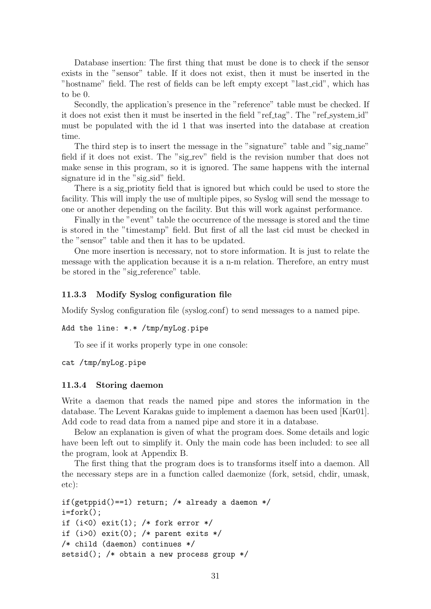Database insertion: The first thing that must be done is to check if the sensor exists in the "sensor" table. If it does not exist, then it must be inserted in the "hostname" field. The rest of fields can be left empty except "last cid", which has to be 0.

Secondly, the application's presence in the "reference" table must be checked. If it does not exist then it must be inserted in the field "ref\_tag". The "ref\_system\_id" must be populated with the id 1 that was inserted into the database at creation time.

The third step is to insert the message in the "signature" table and "sig name" field if it does not exist. The "sig\_rev" field is the revision number that does not make sense in this program, so it is ignored. The same happens with the internal signature id in the "sig\_sid" field.

There is a sig priotity field that is ignored but which could be used to store the facility. This will imply the use of multiple pipes, so Syslog will send the message to one or another depending on the facility. But this will work against performance.

Finally in the "event" table the occurrence of the message is stored and the time is stored in the "timestamp" field. But first of all the last cid must be checked in the "sensor" table and then it has to be updated.

One more insertion is necessary, not to store information. It is just to relate the message with the application because it is a n-m relation. Therefore, an entry must be stored in the "sig reference" table.

#### 11.3.3 Modify Syslog configuration file

Modify Syslog configuration file (syslog.conf) to send messages to a named pipe.

```
Add the line: *.* /tmp/myLog.pipe
```
To see if it works properly type in one console:

cat /tmp/myLog.pipe

#### 11.3.4 Storing daemon

Write a daemon that reads the named pipe and stores the information in the database. The Levent Karakas guide to implement a daemon has been used [Kar01]. Add code to read data from a named pipe and store it in a database.

Below an explanation is given of what the program does. Some details and logic have been left out to simplify it. Only the main code has been included: to see all the program, look at Appendix B.

The first thing that the program does is to transforms itself into a daemon. All the necessary steps are in a function called daemonize (fork, setsid, chdir, umask, etc):

```
if(getppid()==1) return; /* already a daemon */
i=fork();
if (i<0) exit(1); /* fork error */
if (i>0) exit(0); /* parent exits */
/* child (daemon) continues */
setsid(); /* obtain a new process group */
```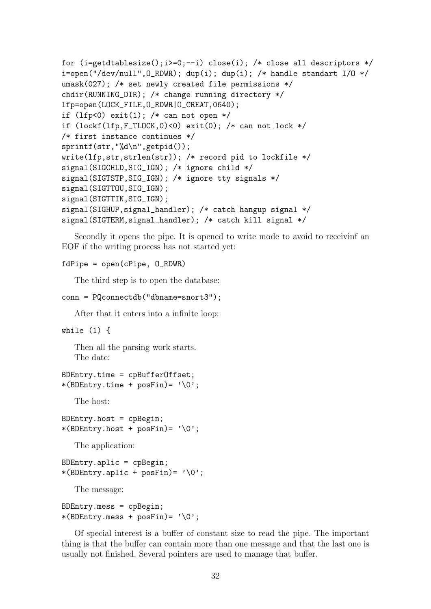```
for (i = getdtablesize();i>0; --i) close(i); /* close all descriptors */
i=open("/dev/null", 0_RDWR); dup(i); dup(i); /* handle standart I/O */
umask(027); /* set newly created file permissions */
chdir(RUNNING_DIR); /* change running directory */
lfp=open(LOCK_FILE,O_RDWR|O_CREAT,0640);
if (lfp<0) exit(l); /* can not open */
if (\text{lockf}(lfp, F_{{\text{ILLUCK}},0) < 0) exit(0); /* can not lock */
/* first instance continues */
sprintf(str,"%d\n",getpid());
write(lfp,str,strlen(str)); /* record pid to lockfile */
signal(SIGCHLD,SIG_IGN); /* ignore child */
signal(SIGTSTP,SIG_IGN); /* ignore tty signals */
signal(SIGTTOU,SIG_IGN);
signal(SIGTTIN,SIG_IGN);
signal(SIGHUP,signal_handler); /* catch hangup signal */
signal(SIGTERM,signal_handler); /* catch kill signal */
```
Secondly it opens the pipe. It is opened to write mode to avoid to receivinf an EOF if the writing process has not started yet:

#### fdPipe = open(cPipe, O\_RDWR)

The third step is to open the database:

```
conn = PQconnectdb("dbname=snort3");
```
After that it enters into a infinite loop:

```
while (1) {
```
Then all the parsing work starts. The date:

```
BDEntry.time = cpBufferOffset;
*(BDEntry.time + posFin) = '0';
```
The host:

```
BDEntry.host = cpBegin;*(BDEntry.host + posFin)= '\0';
```
The application:

```
BDEntry.\naplic = cpBegin;*(BDEntry.\text{aplic} + posFin) = '0';
```
The message:

```
BDEntry.mess = cpBegin;
*(BDEntry.mess + posFin) = ' \0';
```
Of special interest is a buffer of constant size to read the pipe. The important thing is that the buffer can contain more than one message and that the last one is usually not finished. Several pointers are used to manage that buffer.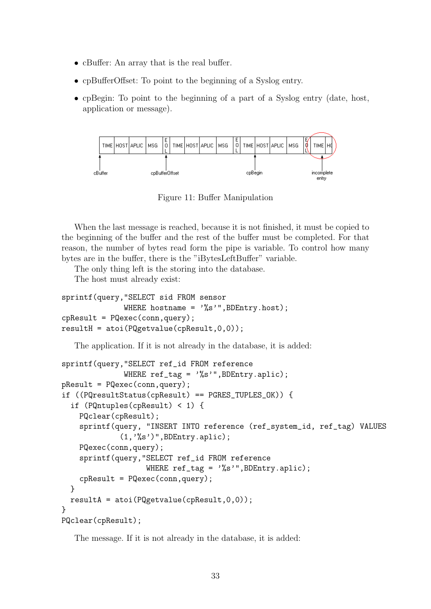- cBuffer: An array that is the real buffer.
- cpBufferOffset: To point to the beginning of a Syslog entry.
- cpBegin: To point to the beginning of a part of a Syslog entry (date, host, application or message).



Figure 11: Buffer Manipulation

When the last message is reached, because it is not finished, it must be copied to the beginning of the buffer and the rest of the buffer must be completed. For that reason, the number of bytes read form the pipe is variable. To control how many bytes are in the buffer, there is the "iBytesLeftBuffer" variable.

The only thing left is the storing into the database.

The host must already exist:

```
sprintf(query,"SELECT sid FROM sensor
              WHERE hostname = \frac{9}{8};", BDEntry.host);
cpResult = PQexec(conn, query);resultH = atoi(PQgetvalue(cpResult,0,0));
```
The application. If it is not already in the database, it is added:

```
sprintf(query,"SELECT ref_id FROM reference
              WHERE ref_tag = '%s'",BDEntry.aplic);
pResult = PQexec(conn,query);
if ((PQresultStatus(cpResult) == PGRES_TUPLES_OK)) {
  if (PQntuples(cpResult) < 1) {
    PQclear(cpResult);
    sprintf(query, "INSERT INTO reference (ref_system_id, ref_tag) VALUES
             (1,'%s')",BDEntry.aplic);
    PQexec(conn,query);
    sprintf(query,"SELECT ref_id FROM reference
                    WHERE ref\_tag = \sqrt[12]{s''}, BDEntry, applied);cpResult = PQexec(conn,query);
  }
  resultA = atoi(PQgetvalue(cpResult,0,0));
}
PQclear(cpResult);
```
The message. If it is not already in the database, it is added: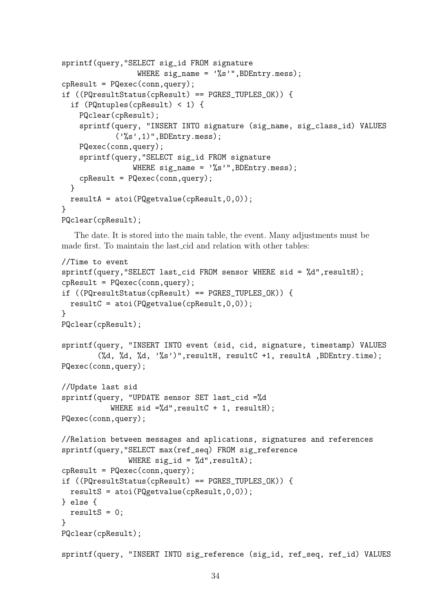```
sprintf(query,"SELECT sig_id FROM signature
                  WHERE sig_name = \frac{9}{8} \frac{1}{1}, BDEntry.mess);
cpResult = PQexec(conn, query);if ((PQresultStatus(cpResult) == PGRES_TUPLES_OK)) {
  if (PQntuples(cpResult) < 1) {
    PQclear(cpResult);
    sprintf(query, "INSERT INTO signature (sig_name, sig_class_id) VALUES
             (\cdot%s',1)", BDEntry.mess);
    PQexec(conn,query);
    sprintf(query,"SELECT sig_id FROM signature
                 WHERE sig_name = \frac{9}{6}s'", BDEntry.mess);
    cpResult = PQexec(conn,query);
  }
  resultA = atoi(PQgetvalue(cpResult, 0, 0));}
PQclear(cpResult);
```
The date. It is stored into the main table, the event. Many adjustments must be made first. To maintain the last cid and relation with other tables:

```
//Time to event
sprintf(query,"SELECT last_cid FROM sensor WHERE sid = %d",resultH);
cpResult = PQexec(conn,query);
if ((PQresultStatus(cpResult) == PGRES_TUPLES_OK)) {
  resultC = atoi(PQgetvalue(cpResult,0,0));
}
PQclear(cpResult);
sprintf(query, "INSERT INTO event (sid, cid, signature, timestamp) VALUES
        (%d, %d, %d, '%s')",resultH, resultC +1, resultA ,BDEntry.time);
PQexec(conn,query);
//Update last sid
sprintf(query, "UPDATE sensor SET last_cid =%d
           WHERE sid =\%d", resultC + 1, resultH);
PQexec(conn,query);
//Relation between messages and aplications, signatures and references
sprintf(query,"SELECT max(ref_seq) FROM sig_reference
               WHERE sig_id = %d", resultA);cpResult = PQexec(conn,query);
if ((PQresultStatus(cpResult) == PGRES_TUPLES_OK)) {
  resultS = atoi(PQgetvalue(cpResult,0,0));
} else {
 resultS = 0;}
PQclear(cpResult);
sprintf(query, "INSERT INTO sig_reference (sig_id, ref_seq, ref_id) VALUES
```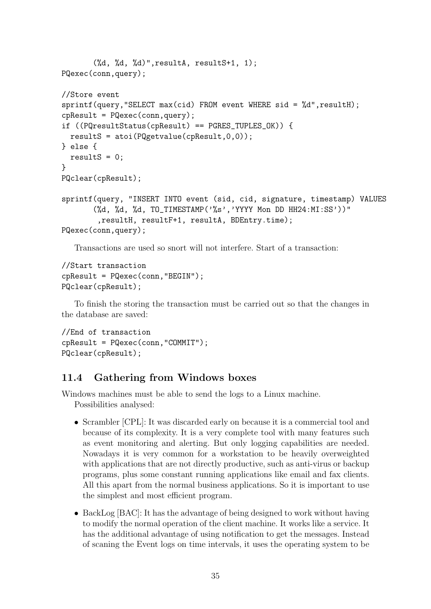```
(\%d, \%d, \%d)", resultA, resultS+1, 1);
PQexec(conn,query);
//Store event
spring sprintf(query, "SELECT max(cid) FROM event WHERE sid = \%d", resultH);
cpResult = PQexec(conn, query);if ((PQresultStatus(cpResult) == PGRES_TUPLES_OK)) {
  resultS = atoi(PQgetvalue(cpResult,0,0));
} else {
  resultS = 0;}
PQclear(cpResult);
sprintf(query, "INSERT INTO event (sid, cid, signature, timestamp) VALUES
       (%d, %d, %d, TO_TIMESTAMP('%s','YYYY Mon DD HH24:MI:SS'))"
        ,resultH, resultF+1, resultA, BDEntry.time);
PQexec(conn,query);
```
Transactions are used so snort will not interfere. Start of a transaction:

```
//Start transaction
cpResult = PQexec(conn,"BEGIN");
PQclear(cpResult);
```
To finish the storing the transaction must be carried out so that the changes in the database are saved:

```
//End of transaction
cpResult = PQexec(conn,"COMMIT");
PQclear(cpResult);
```
## 11.4 Gathering from Windows boxes

Windows machines must be able to send the logs to a Linux machine.

Possibilities analysed:

- Scrambler [CPL]: It was discarded early on because it is a commercial tool and because of its complexity. It is a very complete tool with many features such as event monitoring and alerting. But only logging capabilities are needed. Nowadays it is very common for a workstation to be heavily overweighted with applications that are not directly productive, such as anti-virus or backup programs, plus some constant running applications like email and fax clients. All this apart from the normal business applications. So it is important to use the simplest and most efficient program.
- BackLog [BAC]: It has the advantage of being designed to work without having to modify the normal operation of the client machine. It works like a service. It has the additional advantage of using notification to get the messages. Instead of scaning the Event logs on time intervals, it uses the operating system to be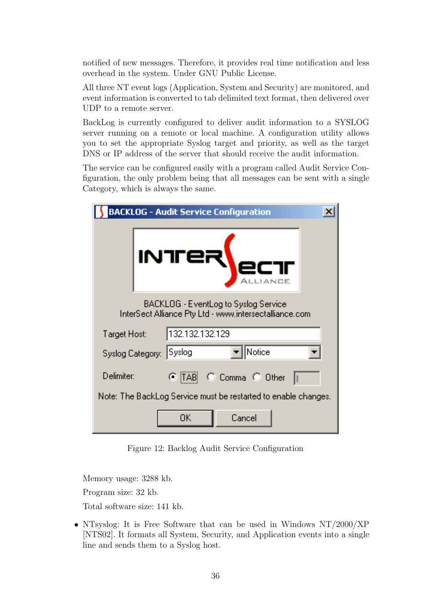notified of new messages. Therefore, it provides real time notification and less overhead in the system. Under GNU Public License.

All three NT event logs (Application, System and Security) are monitored, and event information is converted to tab delimited text format, then delivered over UDP to a remote server.

BackLog is currently configured to deliver audit information to a SYSLOG server running on a remote or local machine. A configuration utility allows you to set the appropriate Syslog target and priority, as well as the target DNS or IP address of the server that should receive the audit information.

The service can be configured easily with a program called Audit Service Configuration, the only problem being that all messages can be sent with a single Category, which is always the same.

|              | <b>BACKLOG - Audit Service Configuration</b>                                                   |  |
|--------------|------------------------------------------------------------------------------------------------|--|
|              |                                                                                                |  |
|              | BACKLOG - EventLog to Syslog Service<br>InterSect Alliance Pty Ltd - www.intersectalliance.com |  |
| Target Host: | 132.132.132.129                                                                                |  |
|              | Notice<br>Syslog <br>Syslog Category:                                                          |  |
| Delimiter:   | C Comma C Other<br>G (TAB).                                                                    |  |
|              | Note: The BackLog Service must be restarted to enable changes.                                 |  |
|              | Cancel<br>OΚ                                                                                   |  |

Figure 12: Backlog Audit Service Configuration

Memory usage: 3288 kb. Program size: 32 kb.

Total software size: 141 kb.

• NTsyslog: It is Free Software that can be used in Windows NT/2000/XP [NTS02]. It formats all System, Security, and Application events into a single line and sends them to a Syslog host.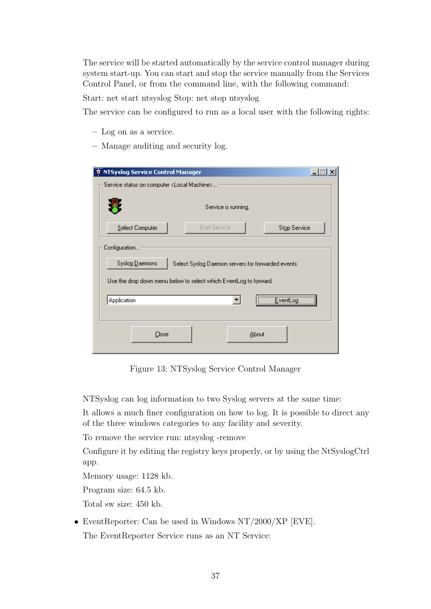The service will be started automatically by the service control manager during system start-up. You can start and stop the service manually from the Services Control Panel, or from the command line, with the following command:

Start: net start ntsyslog Stop: net stop ntsyslog

The service can be configured to run as a local user with the following rights:

- Log on as a service.
- Manage auditing and security log.

| NTSyslog Service Control Manager<br>÷.                                                                                                                     |  |
|------------------------------------------------------------------------------------------------------------------------------------------------------------|--|
| Service status on computer <local machine=""></local>                                                                                                      |  |
| Service is running.                                                                                                                                        |  |
| Stop Service<br>Select Computer<br><b>Start Service</b>                                                                                                    |  |
| Configuration<br>Syslog Daemons<br>Select Syslog Daemon servers for forwarded events.<br>Use the drop down menu below to select which EventLog to forward. |  |
| Application<br>Even                                                                                                                                        |  |
|                                                                                                                                                            |  |
| Close<br>About                                                                                                                                             |  |

Figure 13: NTSyslog Service Control Manager

NTSyslog can log information to two Syslog servers at the same time:

It allows a much finer configuration on how to log. It is possible to direct any of the three windows categories to any facility and severity.

To remove the service run: ntsyslog -remove

Configure it by editing the registry keys properly, or by using the NtSyslogCtrl app.

Memory usage: 1128 kb.

Program size: 64.5 kb.

Total sw size: 450 kb.

• EventReporter: Can be used in Windows NT/2000/XP [EVE].

The EventReporter Service runs as an NT Service: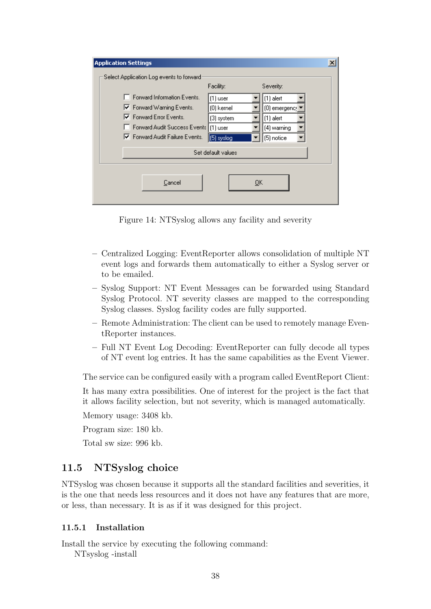| <b>Application Settings</b> |                                           |                    |               |
|-----------------------------|-------------------------------------------|--------------------|---------------|
|                             | Select Application Log events to forward: |                    |               |
|                             |                                           | Facility:          | Severity:     |
|                             | Forward Information Events.               | $(1)$ user         | $(1)$ alert   |
|                             | Ⅳ Forward Warning Events.                 | (0) kernel         | [0] emergency |
|                             | <b>▽</b> Forward Error Events.            | (3) system         | $(1)$ alert   |
|                             | Forward Audit Success Events              | $(1)$ user         | (4) warning   |
|                             | Ⅳ Forward Audit Failure Events.           | $(5)$ syslog       | (5) notice    |
|                             |                                           | Set default values |               |
|                             |                                           |                    |               |
|                             |                                           |                    |               |
|                             | Cancel                                    | QK                 |               |
|                             |                                           |                    |               |
|                             |                                           |                    |               |

Figure 14: NTSyslog allows any facility and severity

- Centralized Logging: EventReporter allows consolidation of multiple NT event logs and forwards them automatically to either a Syslog server or to be emailed.
- Syslog Support: NT Event Messages can be forwarded using Standard Syslog Protocol. NT severity classes are mapped to the corresponding Syslog classes. Syslog facility codes are fully supported.
- Remote Administration: The client can be used to remotely manage EventReporter instances.
- Full NT Event Log Decoding: EventReporter can fully decode all types of NT event log entries. It has the same capabilities as the Event Viewer.

The service can be configured easily with a program called EventReport Client:

It has many extra possibilities. One of interest for the project is the fact that it allows facility selection, but not severity, which is managed automatically.

Memory usage: 3408 kb.

Program size: 180 kb.

Total sw size: 996 kb.

## 11.5 NTSyslog choice

NTSyslog was chosen because it supports all the standard facilities and severities, it is the one that needs less resources and it does not have any features that are more, or less, than necessary. It is as if it was designed for this project.

#### 11.5.1 Installation

Install the service by executing the following command:

NTsyslog -install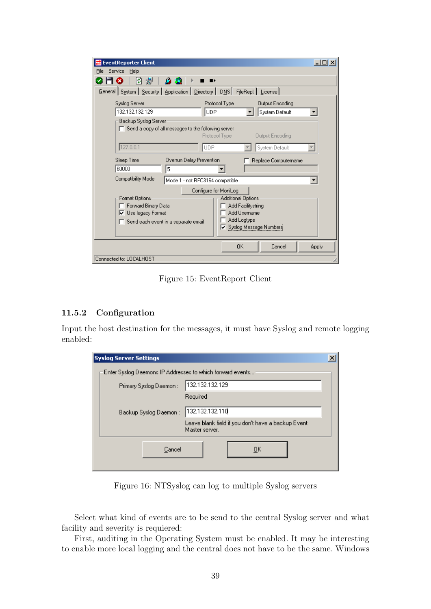| <b>EventReporter Client</b> |                                                            |                           |                        | $   \times$ |
|-----------------------------|------------------------------------------------------------|---------------------------|------------------------|-------------|
| Service<br>Help<br>File     |                                                            |                           |                        |             |
| 冑<br>判                      | $\blacksquare$<br>n sa                                     |                           |                        |             |
| General System   Security   | Application   Directory   DNS   FileRepl.   License        |                           |                        |             |
| Syslog Server               | Protocol Type                                              |                           | <b>Output Encoding</b> |             |
| 132.132.132.129             | lude.                                                      |                           | System Default         |             |
| Backup Syslog Server        |                                                            |                           |                        |             |
|                             | $\Box$ Send a copy of all messages to the following server |                           |                        |             |
|                             | Protocol Type                                              |                           | <b>Output Encoding</b> |             |
| 127.0.0.1                   | <b>UDP</b>                                                 |                           | System Default         |             |
| Sleep Time                  | Overrun Delay Prevention                                   |                           | Replace Computername   |             |
| 60000                       | 5                                                          |                           |                        |             |
| <b>Compatibility Mode</b>   | Mode 1 - not RFC3164 compatible                            |                           |                        |             |
|                             | Configure for MoniLog                                      |                           |                        |             |
| Format Options:             |                                                            | Additional Options:       |                        |             |
| Forward Binary Data         |                                                            | Add Facilitystring        |                        |             |
| <b>▽</b> Use legacy Format  |                                                            | Add Username              |                        |             |
|                             | Send each event in a separate email                        | Add Logtype               |                        |             |
|                             |                                                            | I⊽ Syslog Message Numbers |                        |             |
|                             |                                                            |                           |                        |             |
|                             |                                                            | ŪΚ                        | Cancel                 | Apply       |
| Connected to: LOCALHOST     |                                                            |                           |                        | h           |

Figure 15: EventReport Client

## 11.5.2 Configuration

Input the host destination for the messages, it must have Syslog and remote logging enabled:

| <b>Syslog Server Settings</b>                             |                                                                      | $\vert x \vert$ |
|-----------------------------------------------------------|----------------------------------------------------------------------|-----------------|
| Enter Syslog Daemons IP Addresses to which forward events |                                                                      |                 |
| Primary Syslog Daemon:                                    | 132.132.132.129                                                      |                 |
|                                                           | Required                                                             |                 |
| Backup Syslog Daemon:                                     | 132.132.132.110                                                      |                 |
|                                                           | Leave blank field if you don't have a backup Event<br>Master server. |                 |
| Cancel                                                    | ОK                                                                   |                 |

Figure 16: NTSyslog can log to multiple Syslog servers

Select what kind of events are to be send to the central Syslog server and what facility and severity is requiered:

First, auditing in the Operating System must be enabled. It may be interesting to enable more local logging and the central does not have to be the same. Windows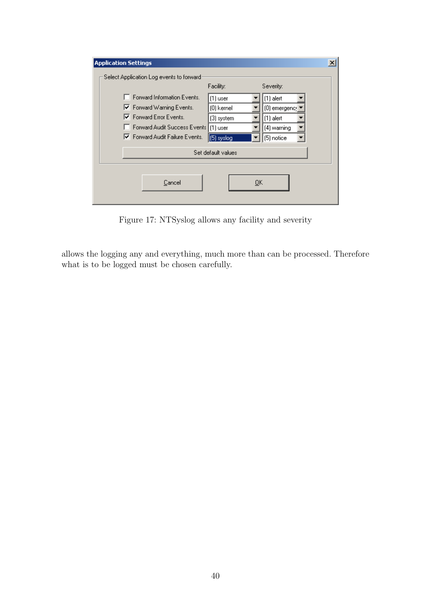| <b>Application Settings</b>                                                                                                                                     |                                                                    |                                                                                       |  |
|-----------------------------------------------------------------------------------------------------------------------------------------------------------------|--------------------------------------------------------------------|---------------------------------------------------------------------------------------|--|
| Select Application Log events to forward                                                                                                                        | Facility:                                                          | Severity:                                                                             |  |
| Forward Information Events.<br>Ⅳ Forward Warning Events.<br><b>▽</b> Forward Error Events.<br>Forward Audit Success Events  <br>Ⅳ Forward Audit Failure Events. | $(1)$ user<br>(0) kernel<br>(3) system<br>$(1)$ user<br>(5) syslog | $(1)$ alert<br>[0] emergency <sup>1</sup><br>$(1)$ alert<br>(4) warning<br>(5) notice |  |
|                                                                                                                                                                 | Set default values                                                 |                                                                                       |  |
| Cancel                                                                                                                                                          |                                                                    | 0K                                                                                    |  |

Figure 17: NTSyslog allows any facility and severity

allows the logging any and everything, much more than can be processed. Therefore what is to be logged must be chosen carefully.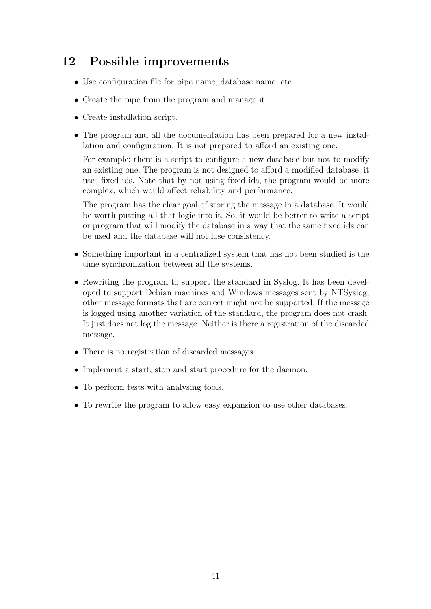# 12 Possible improvements

- Use configuration file for pipe name, database name, etc.
- Create the pipe from the program and manage it.
- Create installation script.
- The program and all the documentation has been prepared for a new installation and configuration. It is not prepared to afford an existing one.

For example: there is a script to configure a new database but not to modify an existing one. The program is not designed to afford a modified database, it uses fixed ids. Note that by not using fixed ids, the program would be more complex, which would affect reliability and performance.

The program has the clear goal of storing the message in a database. It would be worth putting all that logic into it. So, it would be better to write a script or program that will modify the database in a way that the same fixed ids can be used and the database will not lose consistency.

- Something important in a centralized system that has not been studied is the time synchronization between all the systems.
- Rewriting the program to support the standard in Syslog. It has been developed to support Debian machines and Windows messages sent by NTSyslog; other message formats that are correct might not be supported. If the message is logged using another variation of the standard, the program does not crash. It just does not log the message. Neither is there a registration of the discarded message.
- There is no registration of discarded messages.
- Implement a start, stop and start procedure for the daemon.
- To perform tests with analysing tools.
- To rewrite the program to allow easy expansion to use other databases.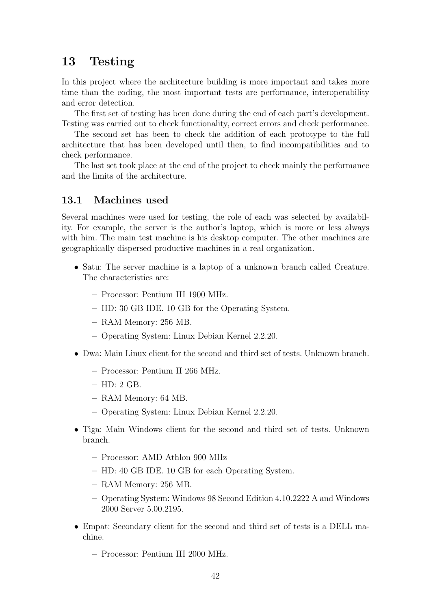## 13 Testing

In this project where the architecture building is more important and takes more time than the coding, the most important tests are performance, interoperability and error detection.

The first set of testing has been done during the end of each part's development. Testing was carried out to check functionality, correct errors and check performance.

The second set has been to check the addition of each prototype to the full architecture that has been developed until then, to find incompatibilities and to check performance.

The last set took place at the end of the project to check mainly the performance and the limits of the architecture.

## 13.1 Machines used

Several machines were used for testing, the role of each was selected by availability. For example, the server is the author's laptop, which is more or less always with him. The main test machine is his desktop computer. The other machines are geographically dispersed productive machines in a real organization.

- Satu: The server machine is a laptop of a unknown branch called Creature. The characteristics are:
	- Processor: Pentium III 1900 MHz.
	- HD: 30 GB IDE. 10 GB for the Operating System.
	- RAM Memory: 256 MB.
	- Operating System: Linux Debian Kernel 2.2.20.
- Dwa: Main Linux client for the second and third set of tests. Unknown branch.
	- Processor: Pentium II 266 MHz.
	- HD: 2 GB.
	- RAM Memory: 64 MB.
	- Operating System: Linux Debian Kernel 2.2.20.
- Tiga: Main Windows client for the second and third set of tests. Unknown branch.
	- Processor: AMD Athlon 900 MHz
	- HD: 40 GB IDE. 10 GB for each Operating System.
	- RAM Memory: 256 MB.
	- Operating System: Windows 98 Second Edition 4.10.2222 A and Windows 2000 Server 5.00.2195.
- Empat: Secondary client for the second and third set of tests is a DELL machine.
	- Processor: Pentium III 2000 MHz.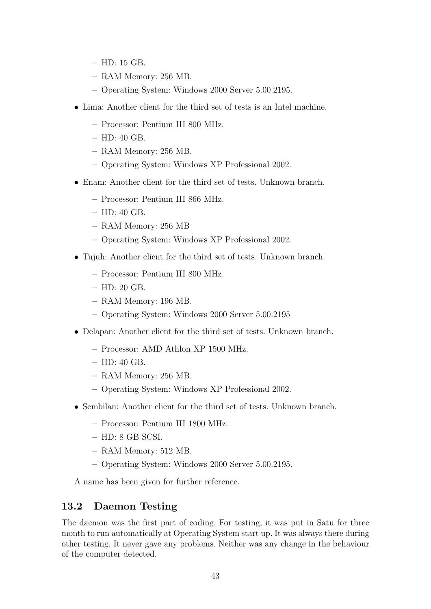- HD: 15 GB.
- RAM Memory: 256 MB.
- Operating System: Windows 2000 Server 5.00.2195.
- Lima: Another client for the third set of tests is an Intel machine.
	- Processor: Pentium III 800 MHz.
	- HD: 40 GB.
	- RAM Memory: 256 MB.
	- Operating System: Windows XP Professional 2002.
- Enam: Another client for the third set of tests. Unknown branch.
	- Processor: Pentium III 866 MHz.
	- HD: 40 GB.
	- RAM Memory: 256 MB
	- Operating System: Windows XP Professional 2002.
- Tujuh: Another client for the third set of tests. Unknown branch.
	- Processor: Pentium III 800 MHz.
	- HD: 20 GB.
	- RAM Memory: 196 MB.
	- Operating System: Windows 2000 Server 5.00.2195
- Delapan: Another client for the third set of tests. Unknown branch.
	- Processor: AMD Athlon XP 1500 MHz.
	- HD: 40 GB.
	- RAM Memory: 256 MB.
	- Operating System: Windows XP Professional 2002.
- Sembilan: Another client for the third set of tests. Unknown branch.
	- Processor: Pentium III 1800 MHz.
	- HD: 8 GB SCSI.
	- RAM Memory: 512 MB.
	- Operating System: Windows 2000 Server 5.00.2195.

A name has been given for further reference.

#### 13.2 Daemon Testing

The daemon was the first part of coding. For testing, it was put in Satu for three month to run automatically at Operating System start up. It was always there during other testing. It never gave any problems. Neither was any change in the behaviour of the computer detected.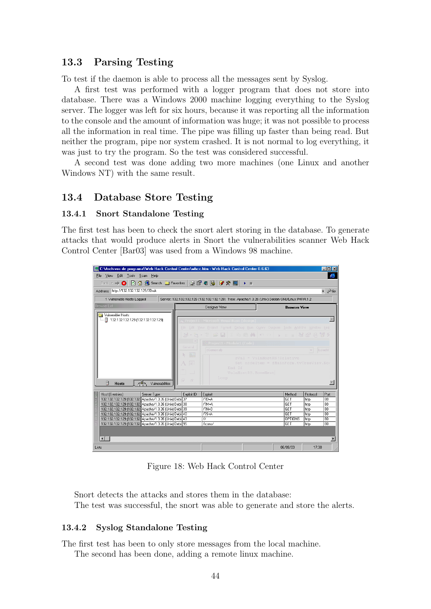## 13.3 Parsing Testing

To test if the daemon is able to process all the messages sent by Syslog.

A first test was performed with a logger program that does not store into database. There was a Windows 2000 machine logging everything to the Syslog server. The logger was left for six hours, because it was reporting all the information to the console and the amount of information was huge; it was not possible to process all the information in real time. The pipe was filling up faster than being read. But neither the program, pipe nor system crashed. It is not normal to log everything, it was just to try the program. So the test was considered successful.

A second test was done adding two more machines (one Linux and another Windows NT) with the same result.

#### 13.4 Database Store Testing

#### 13.4.1 Snort Standalone Testing

The first test has been to check the snort alert storing in the database. To generate attacks that would produce alerts in Snort the vulnerabilities scanner Web Hack Control Center [Bar03] was used from a Windows 98 machine.

| C:\Archivos de programa\Web Hack Control Center\whcc.htm - Web Hack Control Center 0.6.63<br>$ \Box$ $\times$ |                                                                    |                                                                                                                                                                                                                                                                                                                                     |                     |                      |                        |
|---------------------------------------------------------------------------------------------------------------|--------------------------------------------------------------------|-------------------------------------------------------------------------------------------------------------------------------------------------------------------------------------------------------------------------------------------------------------------------------------------------------------------------------------|---------------------|----------------------|------------------------|
| Edit Tools Scan Help<br>File View                                                                             |                                                                    |                                                                                                                                                                                                                                                                                                                                     |                     |                      | e                      |
| 図备图Search □ Favorites   ② @ 日图   6 ☆ ■   ▶ ■<br>Back $\rightarrow \bullet$                                    |                                                                    |                                                                                                                                                                                                                                                                                                                                     |                     |                      |                        |
| http://132.132.132.129/?D=A<br><b>Address</b>                                                                 |                                                                    |                                                                                                                                                                                                                                                                                                                                     |                     |                      | $\blacksquare$<br>⊘^Go |
| 1 Vulnerable Hosts Logged                                                                                     |                                                                    | Server: 132.132.132.129 (132.132.132.129) Type: Apache/1.3.26 (Unix) Debian GNU/Linux PHP/4.1.2                                                                                                                                                                                                                                     |                     |                      |                        |
| <b>Browser List</b>                                                                                           |                                                                    | Designer View                                                                                                                                                                                                                                                                                                                       | <b>Browser View</b> |                      |                        |
| Vulnerable Hosts<br>- 日 132.132.132.129 (132.132.132.129)<br>目<br>చా<br><b>Hosts</b><br>Vulnerabilities       | General<br><b>N</b> 图<br>$A$ abl<br><b>XV-5</b><br>一<br>$\sqrt{2}$ | , Project1 - Microsoft Visual Basic [design]<br>File Edit View Project Format Debug Run Query Diagram Tools Add-Ins Window Helg<br>N·h·11 C FIX & a A O O I & A N A T X<br>Project1 - Module1 (Code)<br>(General)<br>sVal = VulnHostRS!Relative<br>Set nodeItem = fMainForm.tvTreeView.No<br>End If<br>VulnHostRS. MoveNext<br>Loop |                     | $\mathbf{v}$   LoadV |                        |
| Host (6 entries)<br>Server Type<br>132.132.132.129 (132.132 Apache/1.3.26 (Unix) Debi 37                      | Exploit ID                                                         | Exploit<br>$/2D=A$                                                                                                                                                                                                                                                                                                                  | Method<br>GET       | Protocol<br>http     | Port<br>80             |
| 132.132.132.129 [132.132 Apache/1.3.26 [Unix] Debi 38                                                         |                                                                    | $/2M=A$                                                                                                                                                                                                                                                                                                                             | GET                 | http                 | 80                     |
| 132.132.132.129 [132.132 Apache/1.3.26 [Unix] Debi 39                                                         |                                                                    | $72N = D$                                                                                                                                                                                                                                                                                                                           | <b>GET</b>          | http                 | 80                     |
| 132.132.132.129 [132.132 Apache/1.3.26 [Unix] Debi 40                                                         |                                                                    | $775 = A$                                                                                                                                                                                                                                                                                                                           | GET                 | http                 | 80                     |
| 132.132.132.129 [132.132 Apache/1.3.26 [Unix] Debi 43                                                         |                                                                    | 77                                                                                                                                                                                                                                                                                                                                  | <b>OPTIONS</b>      | http                 | 80                     |
| 132.132.132.129 (132.132 Apache/1.3.26 (Unix) Debi 95                                                         |                                                                    | /icons/                                                                                                                                                                                                                                                                                                                             | GET                 | http                 | 80                     |
| $\blacksquare$                                                                                                |                                                                    |                                                                                                                                                                                                                                                                                                                                     | 06/09/03            |                      |                        |
| Listo                                                                                                         |                                                                    |                                                                                                                                                                                                                                                                                                                                     |                     | 17:30                |                        |

Figure 18: Web Hack Control Center

Snort detects the attacks and stores them in the database: The test was successful, the snort was able to generate and store the alerts.

#### 13.4.2 Syslog Standalone Testing

The first test has been to only store messages from the local machine.

The second has been done, adding a remote linux machine.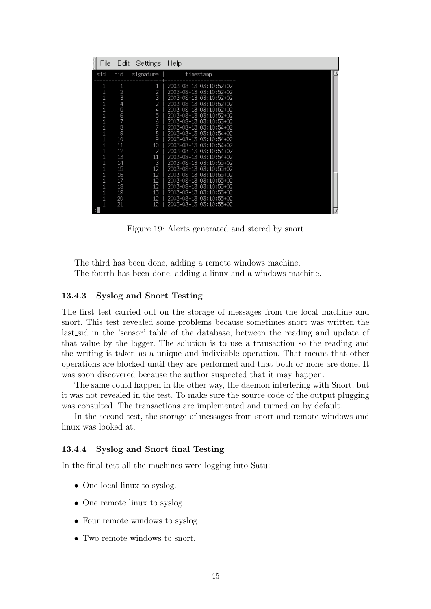| File | Edit                                                                                                                | Settings                                                                                                                     | Help                                                                                                                                                                                                                                                                                                                                                                                                                                                                                                                                                           |
|------|---------------------------------------------------------------------------------------------------------------------|------------------------------------------------------------------------------------------------------------------------------|----------------------------------------------------------------------------------------------------------------------------------------------------------------------------------------------------------------------------------------------------------------------------------------------------------------------------------------------------------------------------------------------------------------------------------------------------------------------------------------------------------------------------------------------------------------|
| sid  | cid                                                                                                                 | signature                                                                                                                    | timestamp                                                                                                                                                                                                                                                                                                                                                                                                                                                                                                                                                      |
|      | $\frac{1}{2}$<br>4<br>5<br>6<br>7<br>8<br>9<br>10<br>11<br>12<br>13<br>14<br>15<br>16<br>17<br>18<br>19<br>20<br>21 | 1<br>$\frac{2}{3}$<br>2<br>4<br>5<br>$\frac{6}{7}$<br>8<br>9<br>10<br>2<br>11<br>3<br>12<br>12<br>12<br>12<br>13<br>12<br>12 | 2003-08-13 03:10:52+02<br>2003-08-13 03:10:52+02<br>2003-08-13 03:10:52+02<br>2003-08-13 03:10:52+02<br>2003-08-13 03:10:52+02<br>2003-08-13 03:10:52+02<br>2003-08-13 03:10:53+02<br>2003-08-13 03:10:54+02<br>2003-08-13 03:10:54+02<br>2003-08-13 03:10:54+02<br>2003-08-13 03:10:54+02<br>2003-08-13 03:10:54+02<br>2003-08-13 03:10:54+02<br>2003-08-13 03:10:55+02<br>2003-08-13 03:10:55+02<br>2003-08-13 03:10:55+02<br>2003-08-13 03:10:55+02<br>2003-08-13 03:10:55+02<br>2003-08-13 03:10:55+02<br>2003-08-13 03:10:55+02<br>2003-08-13 03:10:55+02 |
| н    |                                                                                                                     |                                                                                                                              |                                                                                                                                                                                                                                                                                                                                                                                                                                                                                                                                                                |

Figure 19: Alerts generated and stored by snort

The third has been done, adding a remote windows machine. The fourth has been done, adding a linux and a windows machine.

#### 13.4.3 Syslog and Snort Testing

The first test carried out on the storage of messages from the local machine and snort. This test revealed some problems because sometimes snort was written the last sid in the 'sensor' table of the database, between the reading and update of that value by the logger. The solution is to use a transaction so the reading and the writing is taken as a unique and indivisible operation. That means that other operations are blocked until they are performed and that both or none are done. It was soon discovered because the author suspected that it may happen.

The same could happen in the other way, the daemon interfering with Snort, but it was not revealed in the test. To make sure the source code of the output plugging was consulted. The transactions are implemented and turned on by default.

In the second test, the storage of messages from snort and remote windows and linux was looked at.

#### 13.4.4 Syslog and Snort final Testing

In the final test all the machines were logging into Satu:

- One local linux to syslog.
- One remote linux to syslog.
- Four remote windows to syslog.
- Two remote windows to snort.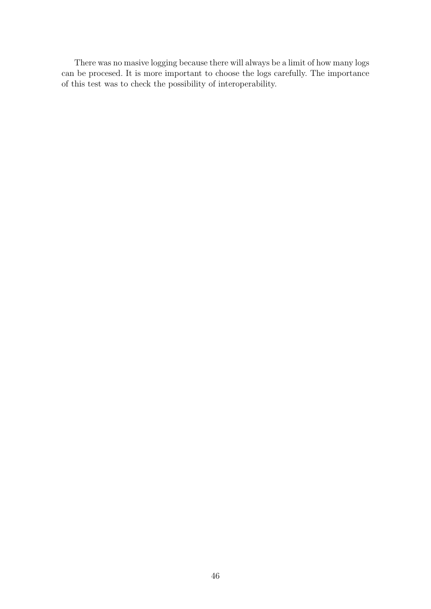There was no masive logging because there will always be a limit of how many logs can be procesed. It is more important to choose the logs carefully. The importance of this test was to check the possibility of interoperability.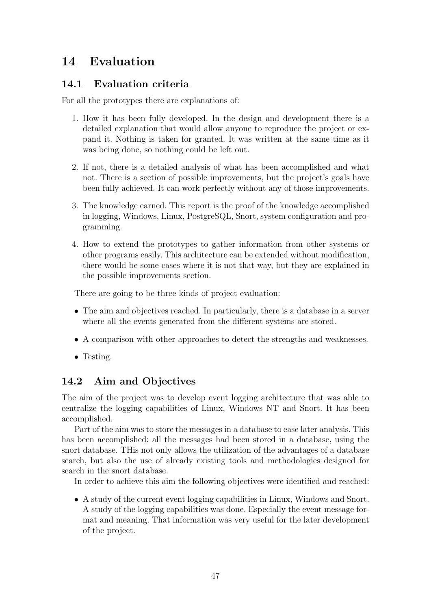# 14 Evaluation

## 14.1 Evaluation criteria

For all the prototypes there are explanations of:

- 1. How it has been fully developed. In the design and development there is a detailed explanation that would allow anyone to reproduce the project or expand it. Nothing is taken for granted. It was written at the same time as it was being done, so nothing could be left out.
- 2. If not, there is a detailed analysis of what has been accomplished and what not. There is a section of possible improvements, but the project's goals have been fully achieved. It can work perfectly without any of those improvements.
- 3. The knowledge earned. This report is the proof of the knowledge accomplished in logging, Windows, Linux, PostgreSQL, Snort, system configuration and programming.
- 4. How to extend the prototypes to gather information from other systems or other programs easily. This architecture can be extended without modification, there would be some cases where it is not that way, but they are explained in the possible improvements section.

There are going to be three kinds of project evaluation:

- The aim and objectives reached. In particularly, there is a database in a server where all the events generated from the different systems are stored.
- A comparison with other approaches to detect the strengths and weaknesses.
- Testing.

## 14.2 Aim and Objectives

The aim of the project was to develop event logging architecture that was able to centralize the logging capabilities of Linux, Windows NT and Snort. It has been accomplished.

Part of the aim was to store the messages in a database to ease later analysis. This has been accomplished: all the messages had been stored in a database, using the snort database. THis not only allows the utilization of the advantages of a database search, but also the use of already existing tools and methodologies designed for search in the snort database.

In order to achieve this aim the following objectives were identified and reached:

• A study of the current event logging capabilities in Linux, Windows and Snort. A study of the logging capabilities was done. Especially the event message format and meaning. That information was very useful for the later development of the project.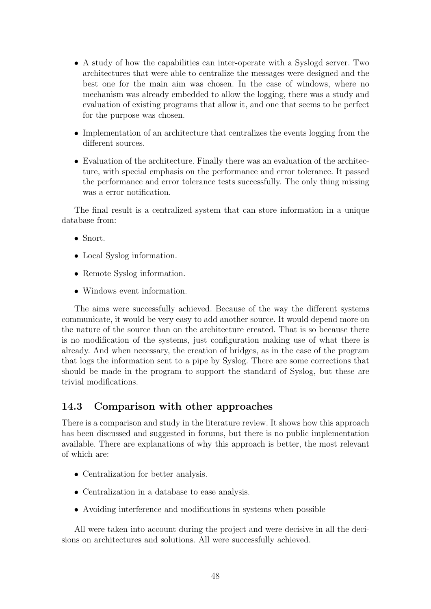- A study of how the capabilities can inter-operate with a Syslogd server. Two architectures that were able to centralize the messages were designed and the best one for the main aim was chosen. In the case of windows, where no mechanism was already embedded to allow the logging, there was a study and evaluation of existing programs that allow it, and one that seems to be perfect for the purpose was chosen.
- Implementation of an architecture that centralizes the events logging from the different sources.
- Evaluation of the architecture. Finally there was an evaluation of the architecture, with special emphasis on the performance and error tolerance. It passed the performance and error tolerance tests successfully. The only thing missing was a error notification.

The final result is a centralized system that can store information in a unique database from:

- Snort.
- Local Syslog information.
- Remote Syslog information.
- Windows event information.

The aims were successfully achieved. Because of the way the different systems communicate, it would be very easy to add another source. It would depend more on the nature of the source than on the architecture created. That is so because there is no modification of the systems, just configuration making use of what there is already. And when necessary, the creation of bridges, as in the case of the program that logs the information sent to a pipe by Syslog. There are some corrections that should be made in the program to support the standard of Syslog, but these are trivial modifications.

## 14.3 Comparison with other approaches

There is a comparison and study in the literature review. It shows how this approach has been discussed and suggested in forums, but there is no public implementation available. There are explanations of why this approach is better, the most relevant of which are:

- Centralization for better analysis.
- Centralization in a database to ease analysis.
- Avoiding interference and modifications in systems when possible

All were taken into account during the project and were decisive in all the decisions on architectures and solutions. All were successfully achieved.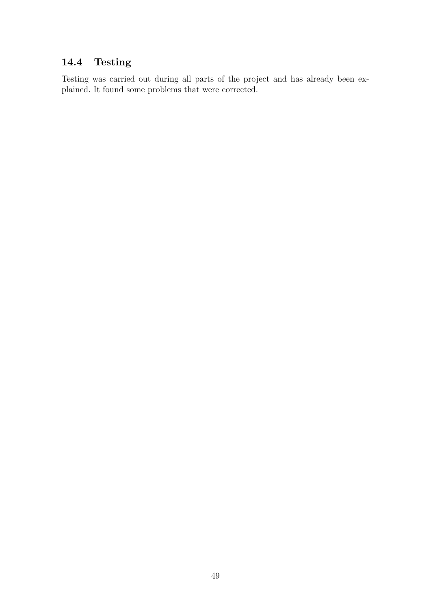# 14.4 Testing

Testing was carried out during all parts of the project and has already been explained. It found some problems that were corrected.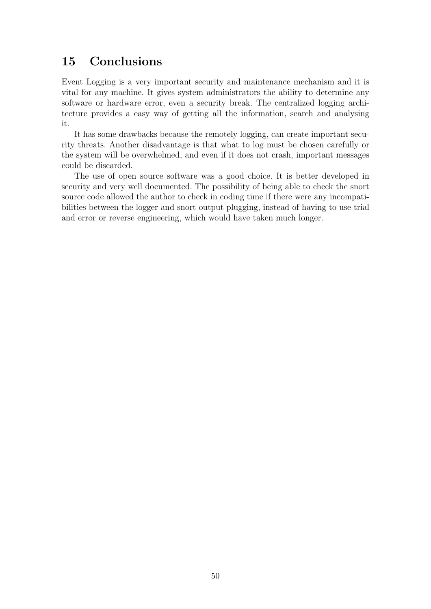# 15 Conclusions

Event Logging is a very important security and maintenance mechanism and it is vital for any machine. It gives system administrators the ability to determine any software or hardware error, even a security break. The centralized logging architecture provides a easy way of getting all the information, search and analysing it.

It has some drawbacks because the remotely logging, can create important security threats. Another disadvantage is that what to log must be chosen carefully or the system will be overwhelmed, and even if it does not crash, important messages could be discarded.

The use of open source software was a good choice. It is better developed in security and very well documented. The possibility of being able to check the snort source code allowed the author to check in coding time if there were any incompatibilities between the logger and snort output plugging, instead of having to use trial and error or reverse engineering, which would have taken much longer.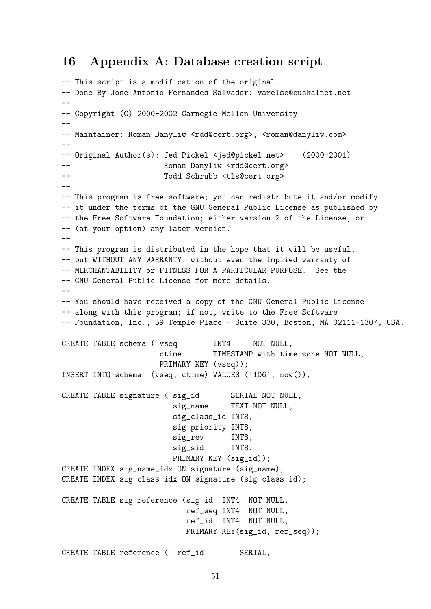## 16 Appendix A: Database creation script

```
-- This script is a modification of the original.
-- Done By Jose Antonio Fernandes Salvador: varelse@euskalnet.net
--
-- Copyright (C) 2000-2002 Carnegie Mellon University
--- Maintainer: Roman Danyliw <rdd@cert.org>, <roman@danyliw.com>
--
-- Original Author(s): Jed Pickel <jed@pickel.net> (2000-2001)
-- Roman Danyliw <rdd@cert.org>
-- Todd Schrubb <tls@cert.org>
--- This program is free software; you can redistribute it and/or modify
-- it under the terms of the GNU General Public License as published by
-- the Free Software Foundation; either version 2 of the License, or
-- (at your option) any later version.
--
-- This program is distributed in the hope that it will be useful,
-- but WITHOUT ANY WARRANTY; without even the implied warranty of
-- MERCHANTABILITY or FITNESS FOR A PARTICULAR PURPOSE. See the
-- GNU General Public License for more details.
--
-- You should have received a copy of the GNU General Public License
-- along with this program; if not, write to the Free Software
-- Foundation, Inc., 59 Temple Place - Suite 330, Boston, MA 02111-1307, USA.
CREATE TABLE schema ( vseq INT4 NOT NULL,
                     ctime TIMESTAMP with time zone NOT NULL,
                     PRIMARY KEY (vseq));
INSERT INTO schema (vseq, ctime) VALUES ('106', now());
CREATE TABLE signature ( sig_id SERIAL NOT NULL,
                        sig_name TEXT NOT NULL,
                        sig_class_id INT8,
                        sig_priority INT8,
                        sig_rev INT8,
                        sig_sid INT8,
                        PRIMARY KEY (sig_id));
CREATE INDEX sig_name_idx ON signature (sig_name);
CREATE INDEX sig_class_idx ON signature (sig_class_id);
CREATE TABLE sig_reference (sig_id INT4 NOT NULL,
                          ref_seq INT4 NOT NULL,
                          ref_id INT4 NOT NULL,
                          PRIMARY KEY(sig_id, ref_seq));
CREATE TABLE reference (ref_id SERIAL,
```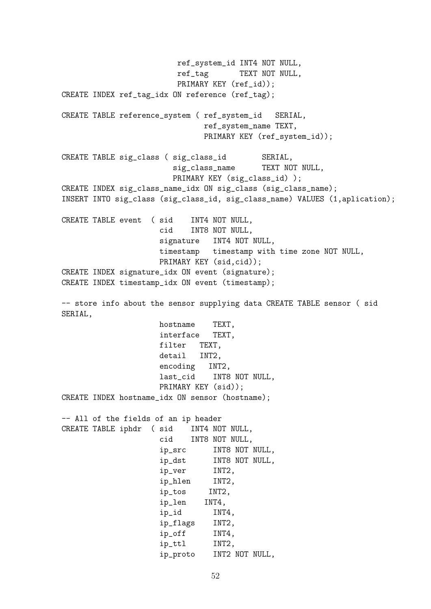ref\_system\_id INT4 NOT NULL, ref\_tag TEXT NOT NULL, PRIMARY KEY (ref\_id)); CREATE INDEX ref\_tag\_idx ON reference (ref\_tag); CREATE TABLE reference\_system ( ref\_system\_id SERIAL, ref\_system\_name TEXT, PRIMARY KEY (ref\_system\_id)); CREATE TABLE sig\_class ( sig\_class\_id SERIAL, sig\_class\_name TEXT NOT NULL, PRIMARY KEY (sig\_class\_id) ); CREATE INDEX sig\_class\_name\_idx ON sig\_class (sig\_class\_name); INSERT INTO sig\_class (sig\_class\_id, sig\_class\_name) VALUES (1,aplication); CREATE TABLE event ( sid INT4 NOT NULL, cid INT8 NOT NULL, signature INT4 NOT NULL, timestamp timestamp with time zone NOT NULL, PRIMARY KEY (sid,cid)); CREATE INDEX signature\_idx ON event (signature); CREATE INDEX timestamp\_idx ON event (timestamp); -- store info about the sensor supplying data CREATE TABLE sensor (sid SERIAL, hostname TEXT, interface TEXT, filter TEXT, detail INT2, encoding INT2, last\_cid INT8 NOT NULL, PRIMARY KEY (sid)); CREATE INDEX hostname\_idx ON sensor (hostname); -- All of the fields of an ip header CREATE TABLE iphdr ( sid INT4 NOT NULL, cid INT8 NOT NULL, ip\_src INT8 NOT NULL, ip\_dst INT8 NOT NULL, ip\_ver INT2, ip\_hlen INT2, ip\_tos INT2, ip\_len INT4, ip\_id INT4, ip\_flags INT2, ip\_off INT4, ip\_ttl INT2, ip\_proto INT2 NOT NULL,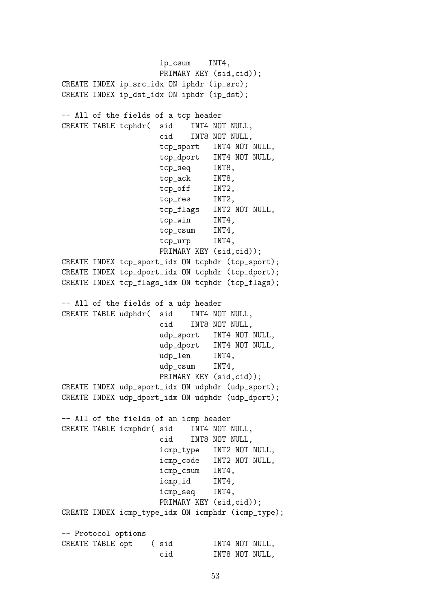ip\_csum INT4, PRIMARY KEY (sid,cid)); CREATE INDEX ip\_src\_idx ON iphdr (ip\_src); CREATE INDEX ip\_dst\_idx ON iphdr (ip\_dst); -- All of the fields of a tcp header CREATE TABLE tcphdr( sid INT4 NOT NULL, cid INT8 NOT NULL, tcp\_sport INT4 NOT NULL, tcp\_dport INT4 NOT NULL, tcp\_seq INT8, tcp\_ack INT8, tcp\_off INT2, tcp\_res INT2, tcp\_flags INT2 NOT NULL, tcp\_win INT4, tcp\_csum INT4, tcp\_urp INT4, PRIMARY KEY (sid,cid)); CREATE INDEX tcp\_sport\_idx ON tcphdr (tcp\_sport); CREATE INDEX tcp\_dport\_idx ON tcphdr (tcp\_dport); CREATE INDEX tcp\_flags\_idx ON tcphdr (tcp\_flags); -- All of the fields of a udp header CREATE TABLE udphdr( sid INT4 NOT NULL, cid INT8 NOT NULL, udp\_sport INT4 NOT NULL, udp\_dport INT4 NOT NULL, udp\_len INT4, udp\_csum INT4, PRIMARY KEY (sid,cid)); CREATE INDEX udp\_sport\_idx ON udphdr (udp\_sport); CREATE INDEX udp\_dport\_idx ON udphdr (udp\_dport); -- All of the fields of an icmp header CREATE TABLE icmphdr( sid INT4 NOT NULL, cid INT8 NOT NULL, icmp\_type INT2 NOT NULL, icmp\_code INT2 NOT NULL, icmp\_csum INT4, icmp\_id INT4, icmp\_seq INT4, PRIMARY KEY (sid,cid)); CREATE INDEX icmp\_type\_idx ON icmphdr (icmp\_type); -- Protocol options CREATE TABLE opt ( sid INT4 NOT NULL, cid INT8 NOT NULL,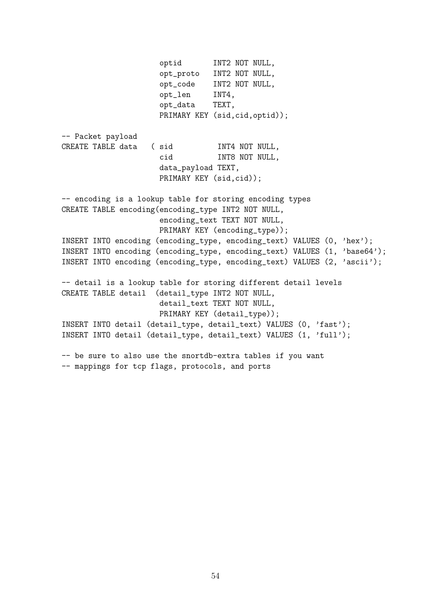optid INT2 NOT NULL, opt\_proto INT2 NOT NULL, opt\_code INT2 NOT NULL, opt\_len INT4, opt\_data TEXT, PRIMARY KEY (sid,cid,optid)); -- Packet payload CREATE TABLE data ( sid INT4 NOT NULL, cid INT8 NOT NULL, data\_payload TEXT, PRIMARY KEY (sid,cid)); -- encoding is a lookup table for storing encoding types CREATE TABLE encoding(encoding\_type INT2 NOT NULL, encoding\_text TEXT NOT NULL, PRIMARY KEY (encoding\_type)); INSERT INTO encoding (encoding\_type, encoding\_text) VALUES (0, 'hex'); INSERT INTO encoding (encoding\_type, encoding\_text) VALUES (1, 'base64'); INSERT INTO encoding (encoding\_type, encoding\_text) VALUES (2, 'ascii'); -- detail is a lookup table for storing different detail levels CREATE TABLE detail (detail\_type INT2 NOT NULL, detail\_text TEXT NOT NULL, PRIMARY KEY (detail\_type)); INSERT INTO detail (detail\_type, detail\_text) VALUES (0, 'fast'); INSERT INTO detail (detail\_type, detail\_text) VALUES (1, 'full'); -- be sure to also use the snortdb-extra tables if you want -- mappings for tcp flags, protocols, and ports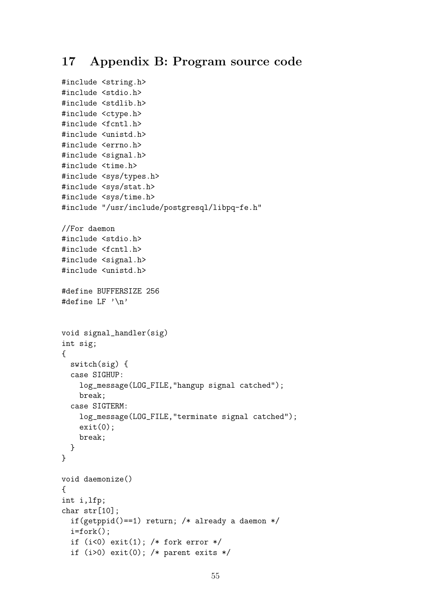## 17 Appendix B: Program source code

```
#include <string.h>
#include <stdio.h>
#include <stdlib.h>
#include <ctype.h>
#include <fcntl.h>
#include <unistd.h>
#include <errno.h>
#include <signal.h>
#include <time.h>
#include <sys/types.h>
#include <sys/stat.h>
#include <sys/time.h>
#include "/usr/include/postgresql/libpq-fe.h"
//For daemon
#include <stdio.h>
#include <fcntl.h>
#include <signal.h>
#include <unistd.h>
#define BUFFERSIZE 256
#define LF '\n'
void signal_handler(sig)
int sig;
{
  switch(sig) {
  case SIGHUP:
    log_message(LOG_FILE,"hangup signal catched");
    break;
  case SIGTERM:
    log_message(LOG_FILE,"terminate signal catched");
    exit(0);break;
  }
}
void daemonize()
{
int i,lfp;
char str[10];
  if(getppid()==1) return; /* already a daemon */
  i=fork();
  if (i<0) exit(1); /* fork error */
  if (i>0) exit(0); /* parent exits */
```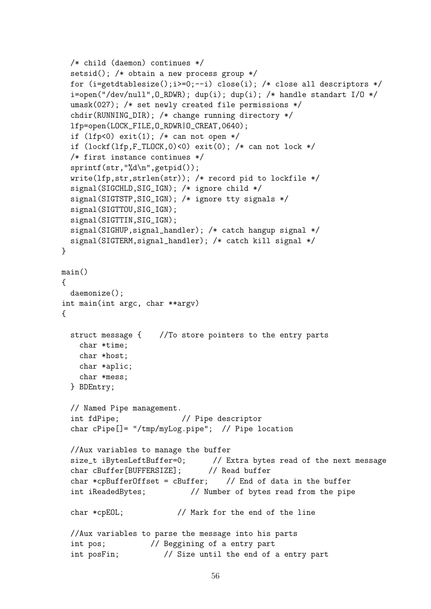```
/* child (daemon) continues */
  setsid(); /* obtain a new process group */
  for (i=getdtablesize();i>=0;--i) close(i); /* close all descriptors */
  i=open("/dev/null", 0_RDWR); dup(i); dup(i); /* handle standart I/O */
  umask(027); /* set newly created file permissions */
  chdir(RUNNING_DIR); /* change running directory */
  lfp=open(LOCK_FILE,O_RDWR|O_CREAT,0640);
  if (lfp<0) exit(l); /* can not open */
  if (\text{lockf}(lfp, F_TLOCK, 0) < 0) exit(0); /* can not lock */
  /* first instance continues */
  sprintf(str,"%d\n",getpid());
  write(lfp,str,strlen(str)); /* record pid to lockfile */
  signal(SIGCHLD,SIG_IGN); /* ignore child */
  signal(SIGTSTP,SIG_IGN); /* ignore tty signals */
  signal(SIGTTOU,SIG_IGN);
  signal(SIGTTIN,SIG_IGN);
  signal(SIGHUP,signal_handler); /* catch hangup signal */
  signal(SIGTERM,signal_handler); /* catch kill signal */
}
main()
{
 daemonize();
int main(int argc, char **argv)
{
  struct message { //To store pointers to the entry parts
   char *time;
   char *host;
   char *aplic;
   char *mess;
  } BDEntry;
  // Named Pipe management.
  int fdPipe; // Pipe descriptor
  char cPipe[]= "/tmp/myLog.pipe"; // Pipe location
  //Aux variables to manage the buffer
  size_t iBytesLeftBuffer=0; // Extra bytes read of the next message
  char cBuffer[BUFFERSIZE]; // Read buffer
  char *cpBufferOffset = cBuffer; // End of data in the buffer
  int iReadedBytes; \frac{1}{2} // Number of bytes read from the pipe
  char *cpEOL; // Mark for the end of the line
  //Aux variables to parse the message into his parts
  int pos; // Beggining of a entry part
  int posFin; // Size until the end of a entry part
```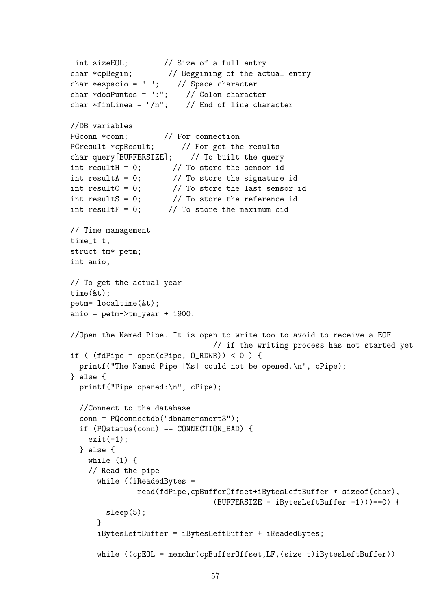```
int sizeEOL; // Size of a full entry
char *cpBegin; // Beggining of the actual entry
char *espacio = " " ; \t // Space characterchar *dosPuntos = ":"; // Colon character
char *finLinea = ''/n"; // End of line character
//DB variables
PGconn *conn; // For connection
PGresult *cpResult; // For get the results
char query[BUFFERSIZE]; // To built the query
int resultH = 0; // To store the sensor id
int resultA = 0; // To store the signature id
int resultC = 0; // To store the last sensor id
int resultS = 0; // To store the reference id
int resultF = 0; // To store the maximum cid
// Time management
time_t t;
struct tm* petm;
int anio;
// To get the actual year
time(&t);
petm= localtime(&t);
anio = petm->tm_year + 1900;
//Open the Named Pipe. It is open to write too to avoid to receive a EOF
                               // if the writing process has not started yet
if ( (fdPipe = open(cPipe, 0_RDWR)) < 0 ) {
  printf("The Named Pipe [%s] could not be opened.\n", cPipe);
} else {
  printf("Pipe opened:\n", cPipe);
  //Connect to the database
  conn = PQconnectdb("dbname=snort3");
  if (PQstatus(conn) == CONNECTION_BAD) {
   exit(-1);} else {
   while (1) {
   // Read the pipe
     while ((iReadedBytes =
              read(fdPipe,cpBufferOffset+iBytesLeftBuffer * sizeof(char),
                               (BUFFERSIZE - iBytesLeftBuffer -1)))==0) {
       sleep(5);
     }
     iBytesLeftBuffer = iBytesLeftBuffer + iReadedBytes;
     while ((cpEOL = memchr(cpBufferOffset,LF,(size_t)iBytesLeftBuffer))
```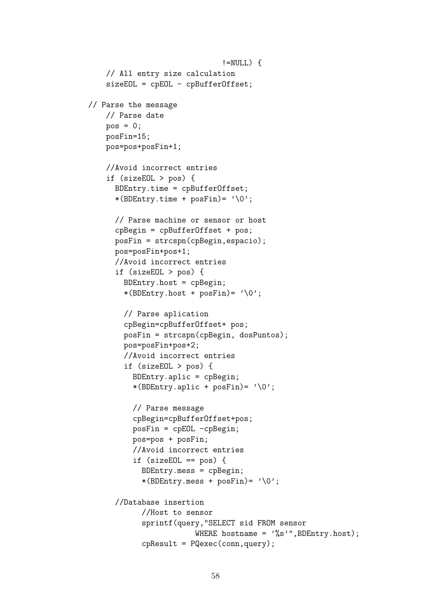```
!=NULL) {
    // All entry size calculation
    sizeEOL = cpEOL - cpBufferOffset;
// Parse the message
    // Parse date
    pos = 0;
    posFin=15;
    pos=pos+posFin+1;
    //Avoid incorrect entries
    if (sizeEOL > pos) {
      BDEntry.time = cpBufferOffset;
      *(BDEntry.time + posFin) = '0';// Parse machine or sensor or host
      cpBegin = cpBufferOffset + pos;
      posFin = strcspn(cpBegin,espacio);
      pos=posFin+pos+1;
      //Avoid incorrect entries
      if (sizeEOL > pos) {
        BDEntry.host = cpBegin;
        *(BDEntry.host + posFin) = '0';// Parse aplication
        cpBegin=cpBufferOffset+ pos;
        posFin = strcspn(cpBegin, dosPuntos);
        pos=posFin+pos+2;
        //Avoid incorrect entries
        if (sizeEOL > pos) {
          BDEntry.aplic = cpBegin;
          *(BDEntry.aplic + posFin)= \sqrt{0'};
          // Parse message
          cpBegin=cpBufferOffset+pos;
          posFin = cpEOL -cpBegin;
          pos=pos + posFin;
          //Avoid incorrect entries
          if (sizeEOL == pos) {
            BDEntry.mess = cpBegin;
            *(BDEntry.mess + posFin) = '0';//Database insertion
            //Host to sensor
            sprintf(query,"SELECT sid FROM sensor
                        WHERE hostname = \sqrt[3]{s}", BDEntry.host);
            cpResult = PQexec(conn,query);
```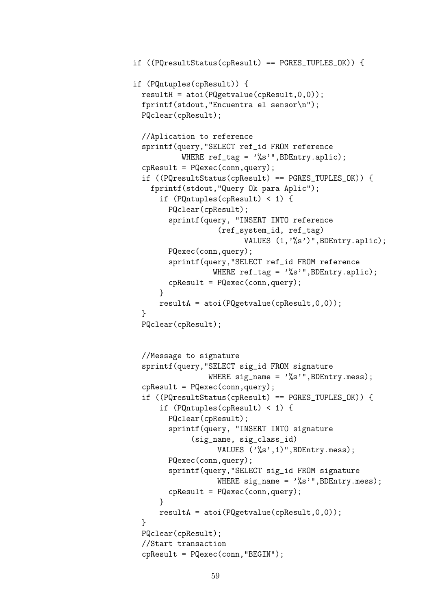```
if ((PQresultStatus(cpResult) == PGRES_TUPLES_OK)) {
if (PQntuples(cpResult)) {
  resultH = atoi(PQgetvalue(cpkesult, 0, 0));fprintf(stdout,"Encuentra el sensor\n");
  PQclear(cpResult);
  //Aplication to reference
  sprintf(query,"SELECT ref_id FROM reference
            WHERE ref\_tag = "\s", BDEntry.aplic);
  cpResult = PQexec(conn,query);
  if ((PQresultStatus(cpResult) == PGRES_TUPLES_OK)) {
    fprintf(stdout,"Query Ok para Aplic");
       if (PQntuples(cpResult) < 1) {
         PQclear(cpResult);
         sprintf(query, "INSERT INTO reference
                      (ref_system_id, ref_tag)
                             VALUES (1,'%s')",BDEntry.aplic);
         PQexec(conn,query);
         sprintf(query,"SELECT ref_id FROM reference
                     WHERE ref_tag = '%s'",BDEntry.aplic);
         cpResult = PQexec(conn,query);
       }
       resultA = atoi(PQgetvalue(cpResult,0,0));
  }
  PQclear(cpResult);
  //Message to signature
  sprintf(query,"SELECT sig_id FROM signature
                    WHERE sig_name = '%s'", BDEntry.mess);
  cpResult = PQexec(conn,query);
  if ((PQresultStatus(cpResult) == PGRES_TUPLES_OK)) {
       if (PQntuples(cpResult) < 1) {
         PQclear(cpResult);
         sprintf(query, "INSERT INTO signature
               (sig_name, sig_class_id)
                      VALUES ('%s',1)",BDEntry.mess);
         PQexec(conn,query);
         sprintf(query,"SELECT sig_id FROM signature
                      WHERE sig_name = \frac{1}{6} \frac{1}{6} \frac{1}{6} \frac{1}{6} \frac{1}{6} \frac{1}{6} \frac{1}{6} \frac{1}{6} \frac{1}{6} \frac{1}{6} \frac{1}{6} \frac{1}{6} \frac{1}{6} \frac{1}{6} \frac{1}{6} \frac{1}{6} \frac{1}{6} \frac{1}{6} \frac{1}{6} \frac{1}{6} \frac{cpResult = PQexec(conn,query);
       }
       resultA = atoi(PQgetvalue(cpkesult, 0, 0));}
  PQclear(cpResult);
  //Start transaction
  cpResult = PQexec(conn,"BEGIN");
```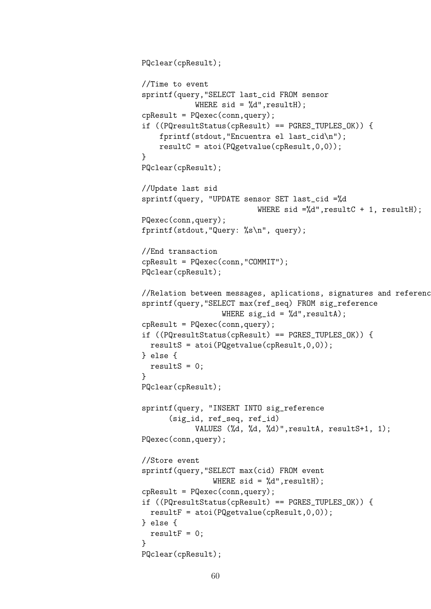```
PQclear(cpResult);
//Time to event
sprintf(query,"SELECT last_cid FROM sensor
            WHERE sid = %d", resultH);cpResult = PQexec(conn,query);
if ((PQresultStatus(cpResult) == PGRES_TUPLES_OK)) {
    fprintf(stdout,"Encuentra el last_cid\n");
    resultC = atoi(PQgetvalue(cpResult, 0, 0));}
PQclear(cpResult);
//Update last sid
sprintf(query, "UPDATE sensor SET last_cid =%d
                          WHERE sid =\times d', resultC + 1, resultH);
PQexec(conn,query);
fprintf(stdout,"Query: %s\n", query);
//End transaction
cpResult = PQexec(conn,"COMMIT");
PQclear(cpResult);
// Relation between messages, aplications, signatures and references
sprintf(query,"SELECT max(ref_seq) FROM sig_reference
                  WHERE sig_id = %d", resultA);cpResult = PQexec(conn,query);
if ((PQresultStatus(cpResult) == PGRES_TUPLES_OK)) {
  resultS = atoi(PQgetvalue(cpResult,0,0));
} else {
  resultS = 0;}
PQclear(cpResult);
sprintf(query, "INSERT INTO sig_reference
      (sig_id, ref_seq, ref_id)
            VALUES (%d, %d, %d)",resultA, resultS+1, 1);
PQexec(conn,query);
//Store event
sprintf(query,"SELECT max(cid) FROM event
                WHERE sid = %d", resultH);cpResult = PQexec(conn,query);
if ((PQresultStatus(cpResult) == PGRES_TUPLES_OK)) {
  resultF = atoi(PQgetvalue(cpkesult, 0, 0));} else {
  resultF = 0;
}
PQclear(cpResult);
```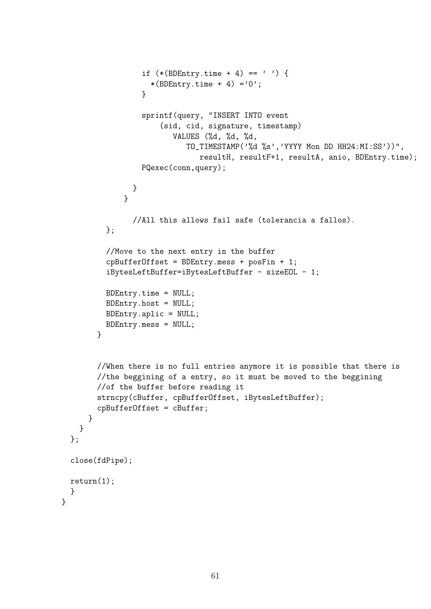```
if (*(BDEntry.time + 4) == '') {
                    *(BDEntry.time + 4) ='0';
                  }
                  sprintf(query, "INSERT INTO event
                      (sid, cid, signature, timestamp)
                         VALUES (%d, %d, %d,
                            TO_TIMESTAMP('%d %s','YYYY Mon DD HH24:MI:SS'))",
                               resultH, resultF+1, resultA, anio, BDEntry.time);
                  PQexec(conn,query);
               }
              }
                //All this allows fail safe (tolerancia a fallos).
          };
          //Move to the next entry in the buffer
          cpBufferOffset = BDEntry.mess + posFin + 1;
          iBytesLeftBuffer=iBytesLeftBuffer - sizeEOL - 1;
          BDEntry.time = NULL;
          BDEntry.host = NULL;
          BDEntry.aplic = NULL;
          BDEntry.mess = NULL;
        }
        //When there is no full entries anymore it is possible that there is
        //the beggining of a entry, so it must be moved to the beggining
        //of the buffer before reading it
        strncpy(cBuffer, cpBufferOffset, iBytesLeftBuffer);
        cpBufferOffset = cBuffer;
      }
    }
 };
  close(fdPipe);
 return(1);
 }
}
```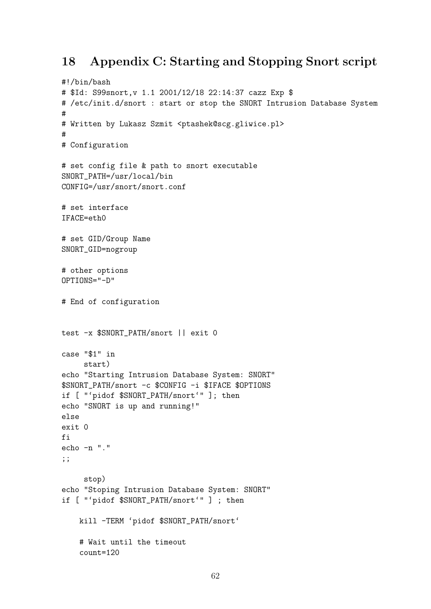## 18 Appendix C: Starting and Stopping Snort script

```
#!/bin/bash
# $Id: S99snort,v 1.1 2001/12/18 22:14:37 cazz Exp $
# /etc/init.d/snort : start or stop the SNORT Intrusion Database System
#
# Written by Lukasz Szmit <ptashek@scg.gliwice.pl>
#
# Configuration
# set config file & path to snort executable
SNORT_PATH=/usr/local/bin
CONFIG=/usr/snort/snort.conf
# set interface
IFACE=eth0
# set GID/Group Name
SNORT_GID=nogroup
# other options
OPTIONS="-D"
# End of configuration
test -x $SNORT_PATH/snort || exit 0
case "$1" in
     start)
echo "Starting Intrusion Database System: SNORT"
$SNORT_PATH/snort -c $CONFIG -i $IFACE $OPTIONS
if [ "'pidof $SNORT_PATH/snort'" ]; then
echo "SNORT is up and running!"
else
exit 0
fi
echo -n "."
;;
     stop)
echo "Stoping Intrusion Database System: SNORT"
if [ "'pidof $SNORT_PATH/snort'" ] ; then
    kill -TERM 'pidof $SNORT_PATH/snort'
    # Wait until the timeout
    count=120
```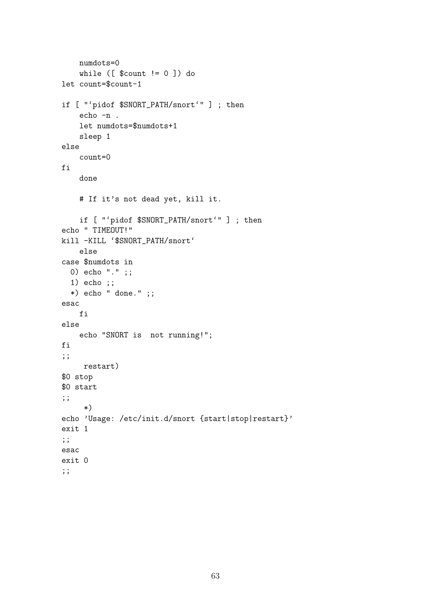```
numdots=0
    while ([ $count != 0] do
let count=$count-1
if [ "'pidof $SNORT_PATH/snort'" ] ; then
    echo -n .
    let numdots=$numdots+1
    sleep 1
else
    count=0
fi
    done
    # If it's not dead yet, kill it.
    if [ "'pidof $SNORT_PATH/snort'" ] ; then
echo " TIMEOUT!"
kill -KILL '$SNORT_PATH/snort'
    else
case $numdots in
  0) echo "." ;;
  1) echo ;;
  *) echo " done." ;;
esac
   fi
else
   echo "SNORT is not running!";
fi
;;
    restart)
$0 stop
$0 start
;;
     *)
echo 'Usage: /etc/init.d/snort {start|stop|restart}'
exit 1
;;
esac
exit 0
;;
```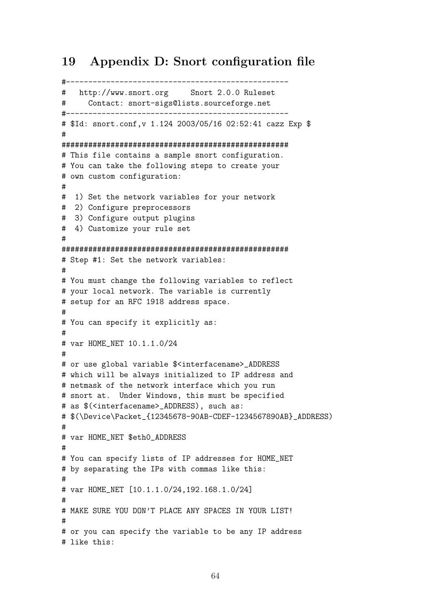## 19 Appendix D: Snort configuration file

```
#--------------------------------------------------
# http://www.snort.org Snort 2.0.0 Ruleset
# Contact: snort-sigs@lists.sourceforge.net
#--------------------------------------------------
# $Id: snort.conf,v 1.124 2003/05/16 02:52:41 cazz Exp $
#
###################################################
# This file contains a sample snort configuration.
# You can take the following steps to create your
# own custom configuration:
#
# 1) Set the network variables for your network
# 2) Configure preprocessors
# 3) Configure output plugins
# 4) Customize your rule set
#
###################################################
# Step #1: Set the network variables:
#
# You must change the following variables to reflect
# your local network. The variable is currently
# setup for an RFC 1918 address space.
#
# You can specify it explicitly as:
#
# var HOME_NET 10.1.1.0/24
#
# or use global variable $<interfacename>_ADDRESS
# which will be always initialized to IP address and
# netmask of the network interface which you run
# snort at. Under Windows, this must be specified
# as $(<interfacename>_ADDRESS), such as:
# $(\Device\Packet_{12345678-90AB-CDEF-1234567890AB}_ADDRESS)
#
# var HOME_NET $eth0_ADDRESS
#
# You can specify lists of IP addresses for HOME_NET
# by separating the IPs with commas like this:
#
# var HOME_NET [10.1.1.0/24,192.168.1.0/24]
#
# MAKE SURE YOU DON'T PLACE ANY SPACES IN YOUR LIST!
#
# or you can specify the variable to be any IP address
# like this:
```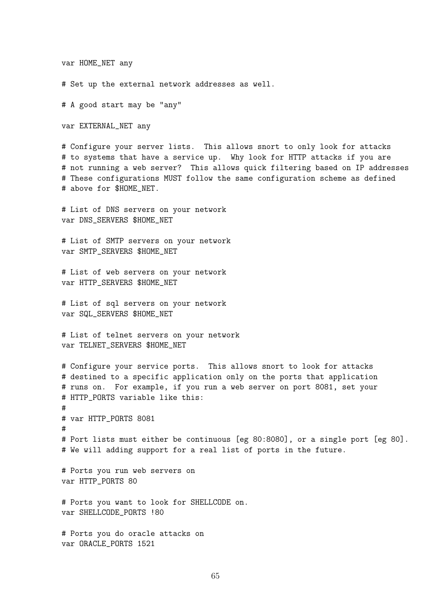#### var HOME\_NET any

# Set up the external network addresses as well.

# A good start may be "any"

var EXTERNAL\_NET any

# Configure your server lists. This allows snort to only look for attacks # to systems that have a service up. Why look for HTTP attacks if you are # not running a web server? This allows quick filtering based on IP addresses # These configurations MUST follow the same configuration scheme as defined # above for \$HOME NET.

# List of DNS servers on your network var DNS\_SERVERS \$HOME\_NET

# List of SMTP servers on your network var SMTP\_SERVERS \$HOME\_NET

# List of web servers on your network var HTTP\_SERVERS \$HOME\_NET

# List of sql servers on your network var SQL\_SERVERS \$HOME\_NET

# List of telnet servers on your network var TELNET\_SERVERS \$HOME\_NET

# Configure your service ports. This allows snort to look for attacks # destined to a specific application only on the ports that application # runs on. For example, if you run a web server on port 8081, set your # HTTP\_PORTS variable like this: # # var HTTP\_PORTS 8081

# Port lists must either be continuous [eg 80:8080], or a single port [eg 80]. # We will adding support for a real list of ports in the future.

# Ports you run web servers on var HTTP\_PORTS 80

#

# Ports you want to look for SHELLCODE on. var SHELLCODE\_PORTS !80

# Ports you do oracle attacks on var ORACLE\_PORTS 1521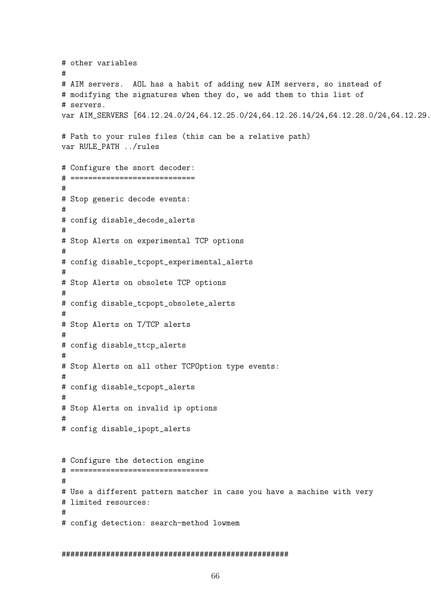# other variables # # AIM servers. AOL has a habit of adding new AIM servers, so instead of # modifying the signatures when they do, we add them to this list of # servers. var AIM\_SERVERS [64.12.24.0/24,64.12.25.0/24,64.12.26.14/24,64.12.28.0/24,64.12.29. # Path to your rules files (this can be a relative path) var RULE\_PATH ../rules # Configure the snort decoder: # ============================ # # Stop generic decode events: # # config disable\_decode\_alerts # # Stop Alerts on experimental TCP options # # config disable\_tcpopt\_experimental\_alerts # # Stop Alerts on obsolete TCP options # # config disable\_tcpopt\_obsolete\_alerts # # Stop Alerts on T/TCP alerts # # config disable\_ttcp\_alerts # # Stop Alerts on all other TCPOption type events: # # config disable\_tcpopt\_alerts # # Stop Alerts on invalid ip options # # config disable\_ipopt\_alerts # Configure the detection engine # =============================== # # Use a different pattern matcher in case you have a machine with very # limited resources: # # config detection: search-method lowmem

#### ###################################################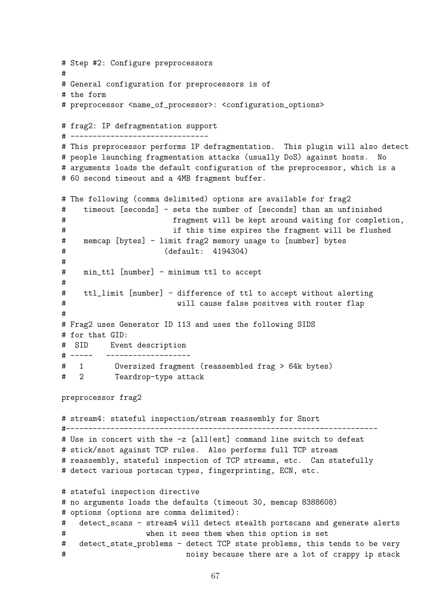# Step #2: Configure preprocessors # # General configuration for preprocessors is of # the form # preprocessor <name\_of\_processor>: <configuration\_options> # frag2: IP defragmentation support # ------------------------------- # This preprocessor performs IP defragmentation. This plugin will also detect # people launching fragmentation attacks (usually DoS) against hosts. No # arguments loads the default configuration of the preprocessor, which is a # 60 second timeout and a 4MB fragment buffer. # The following (comma delimited) options are available for frag2 # timeout [seconds] - sets the number of [seconds] than an unfinished # fragment will be kept around waiting for completion, # if this time expires the fragment will be flushed # memcap [bytes] - limit frag2 memory usage to [number] bytes # (default: 4194304) # # min\_ttl [number] - minimum ttl to accept # # ttl\_limit [number] - difference of ttl to accept without alerting # will cause false positves with router flap # # Frag2 uses Generator ID 113 and uses the following SIDS # for that GID: # SID Event description # ----- ------------------- # 1 Oversized fragment (reassembled frag > 64k bytes) # 2 Teardrop-type attack preprocessor frag2 # stream4: stateful inspection/stream reassembly for Snort #---------------------------------------------------------------------- # Use in concert with the -z [all|est] command line switch to defeat # stick/snot against TCP rules. Also performs full TCP stream # reassembly, stateful inspection of TCP streams, etc. Can statefully # detect various portscan types, fingerprinting, ECN, etc. # stateful inspection directive # no arguments loads the defaults (timeout 30, memcap 8388608) # options (options are comma delimited): # detect\_scans - stream4 will detect stealth portscans and generate alerts # when it sees them when this option is set # detect\_state\_problems - detect TCP state problems, this tends to be very # noisy because there are a lot of crappy ip stack

```
67
```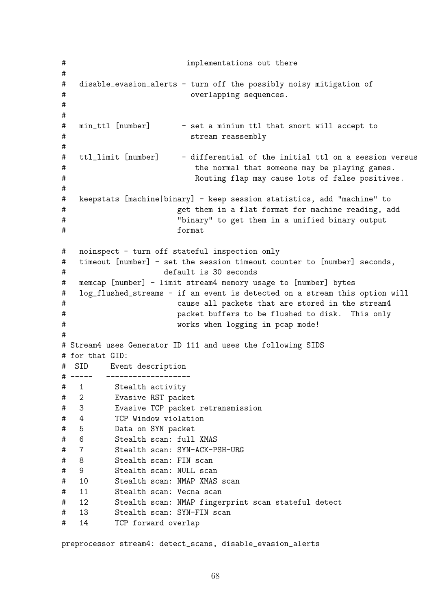# implementations out there # # disable\_evasion\_alerts - turn off the possibly noisy mitigation of # overlapping sequences. # # # min\_ttl [number] - set a minium ttl that snort will accept to # stream reassembly # # ttl\_limit [number] - differential of the initial ttl on a session versus # the normal that someone may be playing games. # Routing flap may cause lots of false positives. # # keepstats [machine|binary] - keep session statistics, add "machine" to # get them in a flat format for machine reading, add # "binary" to get them in a unified binary output # format # noinspect - turn off stateful inspection only # timeout [number] - set the session timeout counter to [number] seconds, # default is 30 seconds # memcap [number] - limit stream4 memory usage to [number] bytes # log\_flushed\_streams - if an event is detected on a stream this option will # cause all packets that are stored in the stream4 # packet buffers to be flushed to disk. This only # works when logging in pcap mode! # # Stream4 uses Generator ID 111 and uses the following SIDS # for that GID: # SID Event description # ----- ------------------- # 1 Stealth activity # 2 Evasive RST packet # 3 Evasive TCP packet retransmission # 4 TCP Window violation # 5 Data on SYN packet # 6 Stealth scan: full XMAS # 7 Stealth scan: SYN-ACK-PSH-URG # 8 Stealth scan: FIN scan # 9 Stealth scan: NULL scan # 10 Stealth scan: NMAP XMAS scan # 11 Stealth scan: Vecna scan # 12 Stealth scan: NMAP fingerprint scan stateful detect # 13 Stealth scan: SYN-FIN scan # 14 TCP forward overlap

preprocessor stream4: detect\_scans, disable\_evasion\_alerts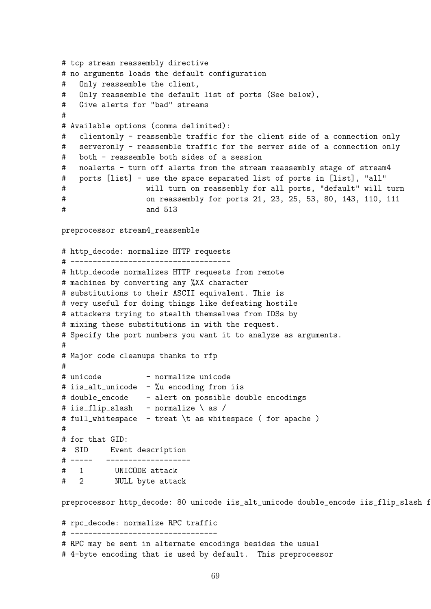```
# tcp stream reassembly directive
# no arguments loads the default configuration
# Only reassemble the client,
# Only reassemble the default list of ports (See below),
# Give alerts for "bad" streams
#
# Available options (comma delimited):
# clientonly - reassemble traffic for the client side of a connection only
# serveronly - reassemble traffic for the server side of a connection only
# both - reassemble both sides of a session
# noalerts - turn off alerts from the stream reassembly stage of stream4
# ports [list] - use the space separated list of ports in [list], "all"
# will turn on reassembly for all ports, "default" will turn
# on reassembly for ports 21, 23, 25, 53, 80, 143, 110, 111
# and 513
preprocessor stream4_reassemble
# http_decode: normalize HTTP requests
# ------------------------------------
# http_decode normalizes HTTP requests from remote
# machines by converting any %XX character
# substitutions to their ASCII equivalent. This is
# very useful for doing things like defeating hostile
# attackers trying to stealth themselves from IDSs by
# mixing these substitutions in with the request.
# Specify the port numbers you want it to analyze as arguments.
#
# Major code cleanups thanks to rfp
#
# unicode - normalize unicode
# iis_alt_unicode - %u encoding from iis
# double_encode - alert on possible double encodings
# iis_flip_slash - normalize \ as /
# full_whitespace - treat \t as whitespace ( for apache )
#
# for that GID:
# SID Event description
# ----- -------------------
# 1 UNICODE attack
# 2 NULL byte attack
preprocessor http_decode: 80 unicode iis_alt_unicode double_encode iis_flip_slash f
# rpc_decode: normalize RPC traffic
# ---------------------------------
# RPC may be sent in alternate encodings besides the usual
# 4-byte encoding that is used by default. This preprocessor
```

```
69
```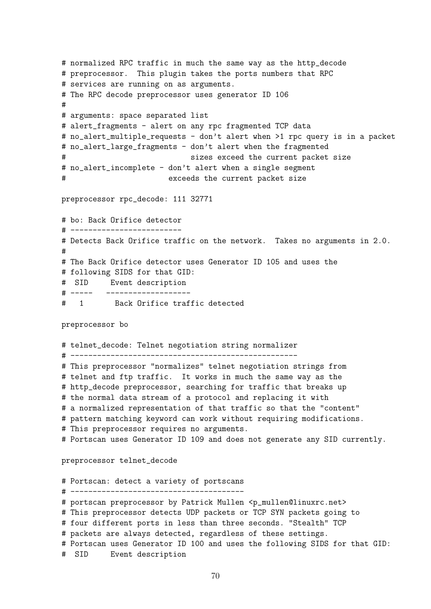```
# normalized RPC traffic in much the same way as the http_decode
# preprocessor. This plugin takes the ports numbers that RPC
# services are running on as arguments.
# The RPC decode preprocessor uses generator ID 106
#
# arguments: space separated list
# alert_fragments - alert on any rpc fragmented TCP data
# no_alert_multiple_requests - don't alert when >1 rpc query is in a packet
# no_alert_large_fragments - don't alert when the fragmented
# sizes exceed the current packet size
# no_alert_incomplete - don't alert when a single segment
# exceeds the current packet size
preprocessor rpc_decode: 111 32771
# bo: Back Orifice detector
# -------------------------
# Detects Back Orifice traffic on the network. Takes no arguments in 2.0.
#
# The Back Orifice detector uses Generator ID 105 and uses the
# following SIDS for that GID:
# SID Event description
# ----- -------------------
# 1 Back Orifice traffic detected
preprocessor bo
# telnet_decode: Telnet negotiation string normalizer
# ---------------------------------------------------
# This preprocessor "normalizes" telnet negotiation strings from
# telnet and ftp traffic. It works in much the same way as the
# http_decode preprocessor, searching for traffic that breaks up
# the normal data stream of a protocol and replacing it with
# a normalized representation of that traffic so that the "content"
# pattern matching keyword can work without requiring modifications.
# This preprocessor requires no arguments.
# Portscan uses Generator ID 109 and does not generate any SID currently.
preprocessor telnet_decode
# Portscan: detect a variety of portscans
# ---------------------------------------
# portscan preprocessor by Patrick Mullen <p_mullen@linuxrc.net>
# This preprocessor detects UDP packets or TCP SYN packets going to
# four different ports in less than three seconds. "Stealth" TCP
# packets are always detected, regardless of these settings.
# Portscan uses Generator ID 100 and uses the following SIDS for that GID:
```

```
# SID Event description
```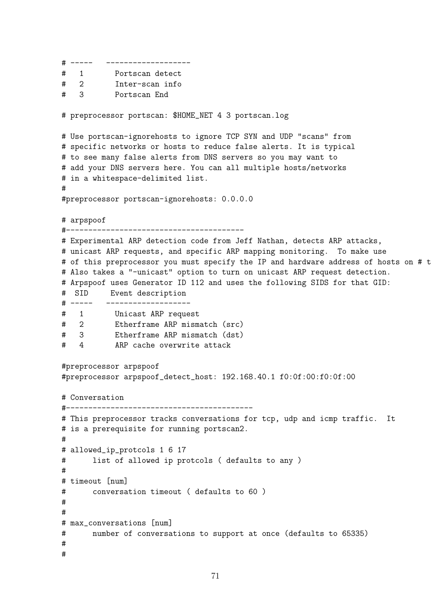```
# ----- -------------------
# 1 Portscan detect
# 2 Inter-scan info
# 3 Portscan End
# preprocessor portscan: $HOME_NET 4 3 portscan.log
# Use portscan-ignorehosts to ignore TCP SYN and UDP "scans" from
# specific networks or hosts to reduce false alerts. It is typical
# to see many false alerts from DNS servers so you may want to
# add your DNS servers here. You can all multiple hosts/networks
# in a whitespace-delimited list.
#
#preprocessor portscan-ignorehosts: 0.0.0.0
# arpspoof
#----------------------------------------
# Experimental ARP detection code from Jeff Nathan, detects ARP attacks,
# unicast ARP requests, and specific ARP mapping monitoring. To make use
# of this preprocessor you must specify the IP and hardware address of hosts on # t
# Also takes a "-unicast" option to turn on unicast ARP request detection.
# Arpspoof uses Generator ID 112 and uses the following SIDS for that GID:
# SID Event description
# ----- -------------------
# 1 Unicast ARP request
# 2 Etherframe ARP mismatch (src)
# 3 Etherframe ARP mismatch (dst)
# 4 ARP cache overwrite attack
#preprocessor arpspoof
#preprocessor arpspoof_detect_host: 192.168.40.1 f0:0f:00:f0:0f:00
# Conversation
#------------------------------------------
# This preprocessor tracks conversations for tcp, udp and icmp traffic. It
# is a prerequisite for running portscan2.
#
# allowed_ip_protcols 1 6 17
# list of allowed ip protcols ( defaults to any )
#
# timeout [num]
# conversation timeout ( defaults to 60 )
#
#
# max_conversations [num]
# number of conversations to support at once (defaults to 65335)
#
#
```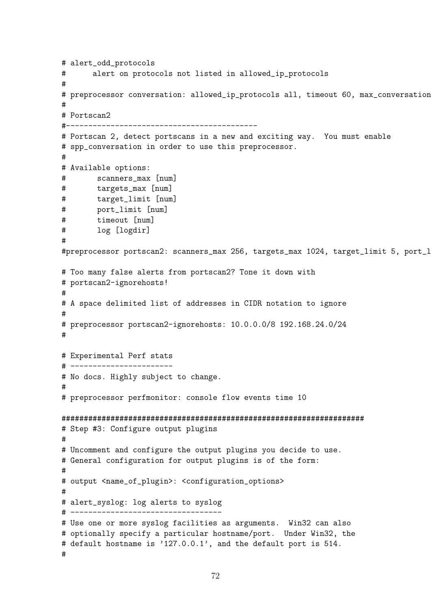```
# alert_odd_protocols
# alert on protocols not listed in allowed_ip_protocols
#
# preprocessor conversation: allowed_ip_protocols all, timeout 60, max_conversation
#
# Portscan2
#-------------------------------------------
# Portscan 2, detect portscans in a new and exciting way. You must enable
# spp_conversation in order to use this preprocessor.
#
# Available options:
# scanners_max [num]
# targets_max [num]
# target_limit [num]
# port_limit [num]
# timeout [num]
# log [logdir]
#
#preprocessor portscan2: scanners_max 256, targets_max 1024, target_limit 5, port_1
# Too many false alerts from portscan2? Tone it down with
# portscan2-ignorehosts!
#
# A space delimited list of addresses in CIDR notation to ignore
#
# preprocessor portscan2-ignorehosts: 10.0.0.0/8 192.168.24.0/24
#
# Experimental Perf stats
# -----------------------
# No docs. Highly subject to change.
#
# preprocessor perfmonitor: console flow events time 10
####################################################################
# Step #3: Configure output plugins
#
# Uncomment and configure the output plugins you decide to use.
# General configuration for output plugins is of the form:
#
# output <name_of_plugin>: <configuration_options>
#
# alert_syslog: log alerts to syslog
# ----------------------------------
# Use one or more syslog facilities as arguments. Win32 can also
# optionally specify a particular hostname/port. Under Win32, the
# default hostname is '127.0.0.1', and the default port is 514.
#
```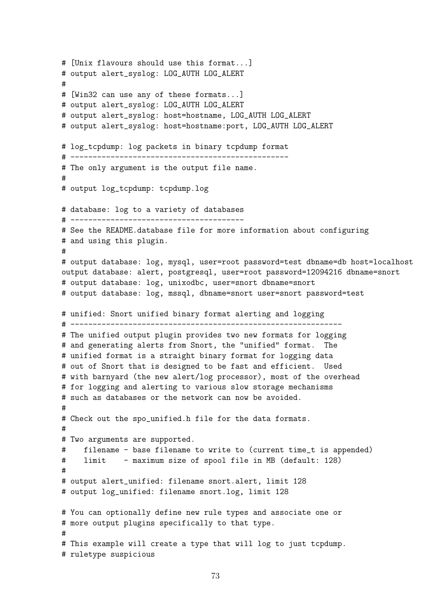```
# [Unix flavours should use this format...]
# output alert_syslog: LOG_AUTH LOG_ALERT
#
# [Win32 can use any of these formats...]
# output alert_syslog: LOG_AUTH LOG_ALERT
# output alert_syslog: host=hostname, LOG_AUTH LOG_ALERT
# output alert_syslog: host=hostname:port, LOG_AUTH LOG_ALERT
# log_tcpdump: log packets in binary tcpdump format
# -------------------------------------------------
# The only argument is the output file name.
#
# output log_tcpdump: tcpdump.log
# database: log to a variety of databases
# ---------------------------------------
# See the README.database file for more information about configuring
# and using this plugin.
#
# output database: log, mysql, user=root password=test dbname=db host=localhost
output database: alert, postgresql, user=root password=12094216 dbname=snort
# output database: log, unixodbc, user=snort dbname=snort
# output database: log, mssql, dbname=snort user=snort password=test
# unified: Snort unified binary format alerting and logging
# -------------------------------------------------------------
# The unified output plugin provides two new formats for logging
# and generating alerts from Snort, the "unified" format. The
# unified format is a straight binary format for logging data
# out of Snort that is designed to be fast and efficient. Used
# with barnyard (the new alert/log processor), most of the overhead
# for logging and alerting to various slow storage mechanisms
# such as databases or the network can now be avoided.
#
# Check out the spo_unified.h file for the data formats.
#
# Two arguments are supported.
# filename - base filename to write to (current time_t is appended)
# limit - maximum size of spool file in MB (default: 128)
#
# output alert_unified: filename snort.alert, limit 128
# output log_unified: filename snort.log, limit 128
# You can optionally define new rule types and associate one or
# more output plugins specifically to that type.
#
# This example will create a type that will log to just tcpdump.
# ruletype suspicious
```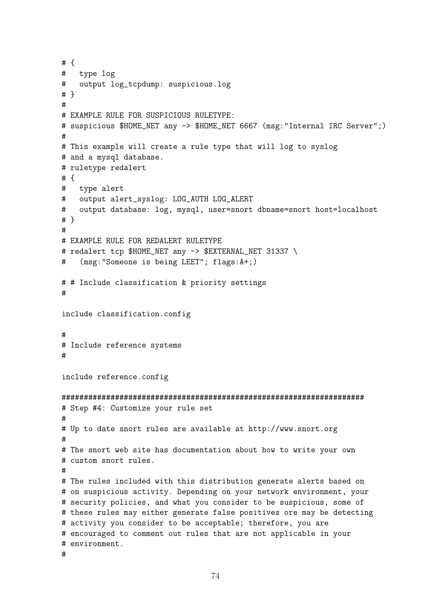```
# {
# type log
# output log_tcpdump: suspicious.log
# }
#
# EXAMPLE RULE FOR SUSPICIOUS RULETYPE:
# suspicious $HOME_NET any -> $HOME_NET 6667 (msg:"Internal IRC Server";)
#
# This example will create a rule type that will log to syslog
# and a mysql database.
# ruletype redalert
# {
# type alert
# output alert_syslog: LOG_AUTH LOG_ALERT
# output database: log, mysql, user=snort dbname=snort host=localhost
# }
#
# EXAMPLE RULE FOR REDALERT RULETYPE
# redalert tcp $HOME_NET any -> $EXTERNAL_NET 31337 \
# (msg:"Someone is being LEET"; flags:A+;)
# # Include classification & priority settings
#
include classification.config
#
# Include reference systems
#
include reference.config
####################################################################
# Step #4: Customize your rule set
#
# Up to date snort rules are available at http://www.snort.org
#
# The snort web site has documentation about how to write your own
# custom snort rules.
#
# The rules included with this distribution generate alerts based on
# on suspicious activity. Depending on your network environment, your
# security policies, and what you consider to be suspicious, some of
# these rules may either generate false positives ore may be detecting
# activity you consider to be acceptable; therefore, you are
# encouraged to comment out rules that are not applicable in your
# environment.
#
```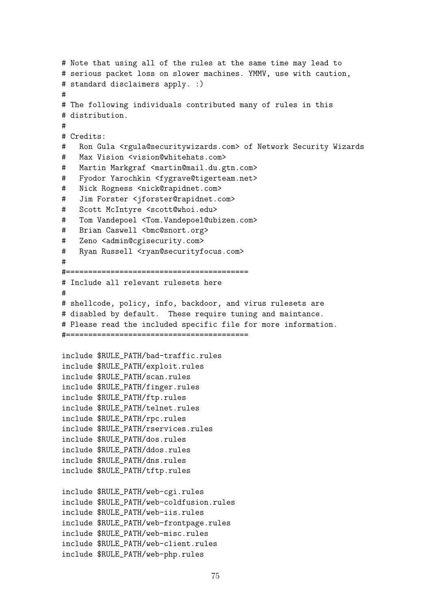```
# Note that using all of the rules at the same time may lead to
# serious packet loss on slower machines. YMMV, use with caution,
# standard disclaimers apply. :)
#
# The following individuals contributed many of rules in this
# distribution.
#
# Credits:
# Ron Gula <rgula@securitywizards.com> of Network Security Wizards
# Max Vision <vision@whitehats.com>
# Martin Markgraf <martin@mail.du.gtn.com>
# Fyodor Yarochkin <fygrave@tigerteam.net>
# Nick Rogness <nick@rapidnet.com>
# Jim Forster <jforster@rapidnet.com>
# Scott McIntyre <scott@whoi.edu>
# Tom Vandepoel <Tom.Vandepoel@ubizen.com>
# Brian Caswell <br/>bmc@snort.org>
# Zeno <admin@cgisecurity.com>
# Ryan Russell <ryan@securityfocus.com>
#
#=========================================
# Include all relevant rulesets here
#
# shellcode, policy, info, backdoor, and virus rulesets are
# disabled by default. These require tuning and maintance.
# Please read the included specific file for more information.
#=========================================
include $RULE_PATH/bad-traffic.rules
include $RULE_PATH/exploit.rules
include $RULE_PATH/scan.rules
include $RULE_PATH/finger.rules
include $RULE_PATH/ftp.rules
include $RULE_PATH/telnet.rules
include $RULE_PATH/rpc.rules
include $RULE_PATH/rservices.rules
include $RULE_PATH/dos.rules
include $RULE_PATH/ddos.rules
include $RULE_PATH/dns.rules
include $RULE_PATH/tftp.rules
include $RULE_PATH/web-cgi.rules
include $RULE_PATH/web-coldfusion.rules
include $RULE_PATH/web-iis.rules
include $RULE_PATH/web-frontpage.rules
include $RULE_PATH/web-misc.rules
include $RULE_PATH/web-client.rules
include $RULE_PATH/web-php.rules
```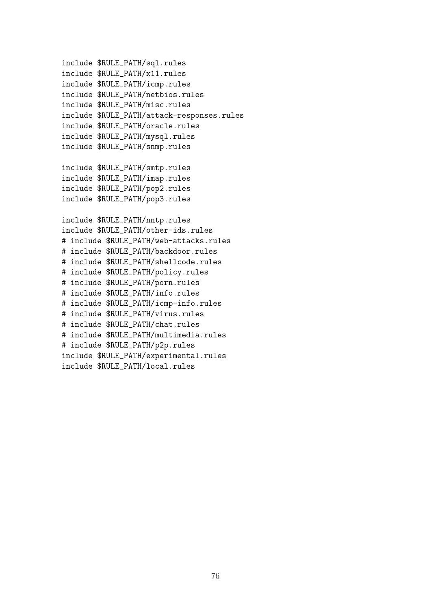```
include $RULE_PATH/sql.rules
include $RULE_PATH/x11.rules
include $RULE_PATH/icmp.rules
include $RULE_PATH/netbios.rules
include $RULE_PATH/misc.rules
include $RULE_PATH/attack-responses.rules
include $RULE_PATH/oracle.rules
include $RULE_PATH/mysql.rules
include $RULE_PATH/snmp.rules
include $RULE_PATH/smtp.rules
include $RULE_PATH/imap.rules
include $RULE_PATH/pop2.rules
include $RULE_PATH/pop3.rules
include $RULE_PATH/nntp.rules
include $RULE_PATH/other-ids.rules
# include $RULE_PATH/web-attacks.rules
# include $RULE_PATH/backdoor.rules
# include $RULE_PATH/shellcode.rules
# include $RULE_PATH/policy.rules
# include $RULE_PATH/porn.rules
# include $RULE_PATH/info.rules
# include $RULE_PATH/icmp-info.rules
# include $RULE_PATH/virus.rules
# include $RULE_PATH/chat.rules
# include $RULE_PATH/multimedia.rules
# include $RULE_PATH/p2p.rules
include $RULE_PATH/experimental.rules
include $RULE_PATH/local.rules
```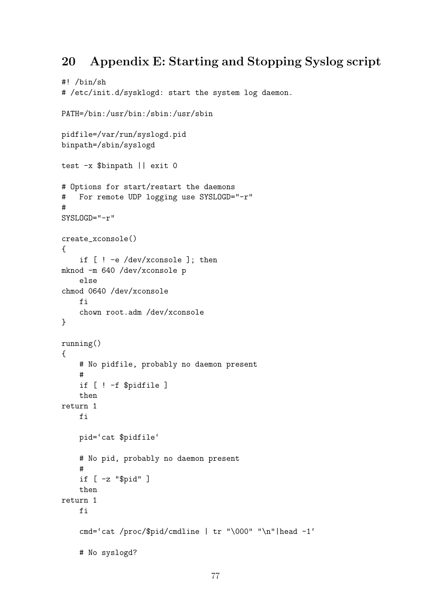## 20 Appendix E: Starting and Stopping Syslog script

```
#! /bin/sh
# /etc/init.d/sysklogd: start the system log daemon.
PATH=/bin:/usr/bin:/sbin:/usr/sbin
pidfile=/var/run/syslogd.pid
binpath=/sbin/syslogd
test -x $binpath || exit 0
# Options for start/restart the daemons
# For remote UDP logging use SYSLOGD="-r"
#
SYSLOGD="-r"
create_xconsole()
{
    if [ ! -e /dev/xconsole ]; then
mknod -m 640 /dev/xconsole p
    else
chmod 0640 /dev/xconsole
    fi
    chown root.adm /dev/xconsole
}
running()
{
    # No pidfile, probably no daemon present
    #
    if [ ! -f $pidfile ]
    then
return 1
    fi
    pid='cat $pidfile'
    # No pid, probably no daemon present
    #
    if [ -z "$pid" ]
    then
return 1
    fi
    cmd='cat /proc/$pid/cmdline | tr "\000" "\n"|head -1'
    # No syslogd?
```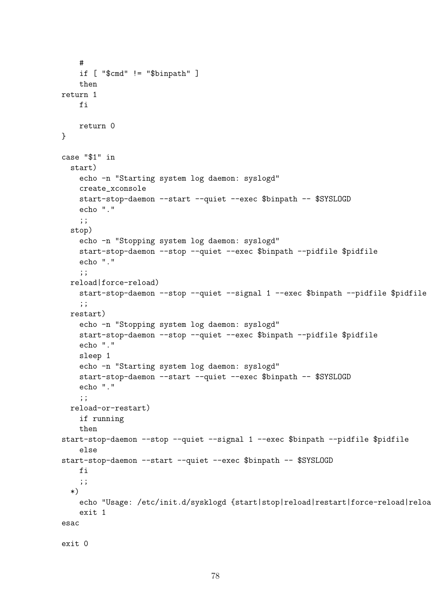```
#
    if [ "$cmd" != "$binpath" ]
    then
return 1
    fi
    return 0
}
case "$1" in
  start)
    echo -n "Starting system log daemon: syslogd"
    create_xconsole
    start-stop-daemon --start --quiet --exec $binpath -- $SYSLOGD
    echo "."
    ;;
  stop)
    echo -n "Stopping system log daemon: syslogd"
    start-stop-daemon --stop --quiet --exec $binpath --pidfile $pidfile
    echo "."
    ;;
  reload|force-reload)
    start-stop-daemon --stop --quiet --signal 1 --exec $binpath --pidfile $pidfile
    ;;
  restart)
    echo -n "Stopping system log daemon: syslogd"
    start-stop-daemon --stop --quiet --exec $binpath --pidfile $pidfile
    echo "."
    sleep 1
    echo -n "Starting system log daemon: syslogd"
    start-stop-daemon --start --quiet --exec $binpath -- $SYSLOGD
    echo "."
    ;;
  reload-or-restart)
    if running
    then
start-stop-daemon --stop --quiet --signal 1 --exec $binpath --pidfile $pidfile
    else
start-stop-daemon --start --quiet --exec $binpath -- $SYSLOGD
    fi
    ;;
  *)
    echo "Usage: /etc/init.d/sysklogd {start|stop|reload|restart|force-reload|reloa
    exit 1
esac
exit 0
```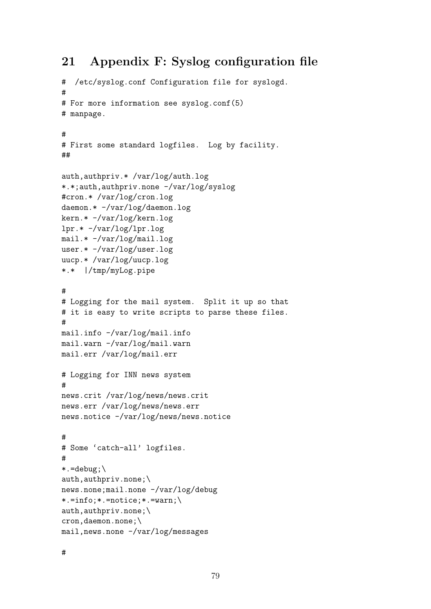### 21 Appendix F: Syslog configuration file

```
# /etc/syslog.conf Configuration file for syslogd.
#
# For more information see syslog.conf(5)
# manpage.
#
# First some standard logfiles. Log by facility.
##
auth,authpriv.* /var/log/auth.log
*.*;auth,authpriv.none -/var/log/syslog
#cron.* /var/log/cron.log
daemon.* -/var/log/daemon.log
kern.* -/var/log/kern.log
lpr.* -/var/log/lpr.log
mail.* -/var/log/mail.log
user.* -/var/log/user.log
uucp.* /var/log/uucp.log
*.* |/tmp/myLog.pipe
#
# Logging for the mail system. Split it up so that
# it is easy to write scripts to parse these files.
#
mail.info -/var/log/mail.info
mail.warn -/var/log/mail.warn
mail.err /var/log/mail.err
# Logging for INN news system
#
news.crit /var/log/news/news.crit
news.err /var/log/news/news.err
news.notice -/var/log/news/news.notice
#
# Some 'catch-all' logfiles.
#
*. =debug; \
auth,authpriv.none;\
news.none;mail.none -/var/log/debug
*.=info;*.=notice;*.=warn;\
auth,authpriv.none;\
cron,daemon.none;\
mail,news.none -/var/log/messages
```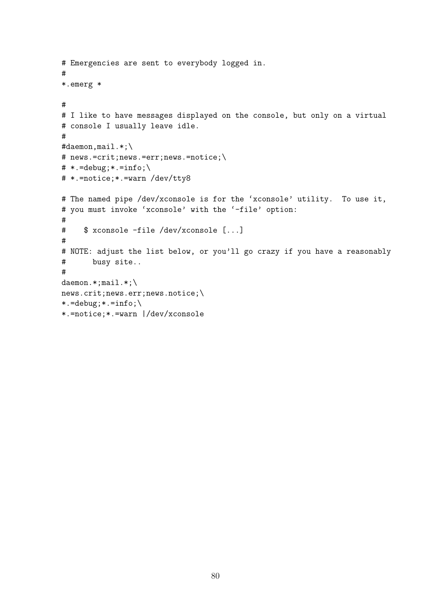```
# Emergencies are sent to everybody logged in.
#
*.emerg *
#
# I like to have messages displayed on the console, but only on a virtual
# console I usually leave idle.
#
#daemon,mail.*;\
# news.=crit;news.=err;news.=notice;\
# * = \text{delay}; * = \text{info}; \# *.=notice;*.=warn /dev/tty8
# The named pipe /dev/xconsole is for the 'xconsole' utility. To use it,
# you must invoke 'xconsole' with the '-file' option:
#
# $ xconsole -file /dev/xconsole [...]
#
# NOTE: adjust the list below, or you'll go crazy if you have a reasonably
# busy site..
#
daemon.*;mail.*;\
news.crit;news.err;news.notice;\
*. = \text{delay}; * = \text{info}; \setminus*.=notice;*.=warn |/dev/xconsole
```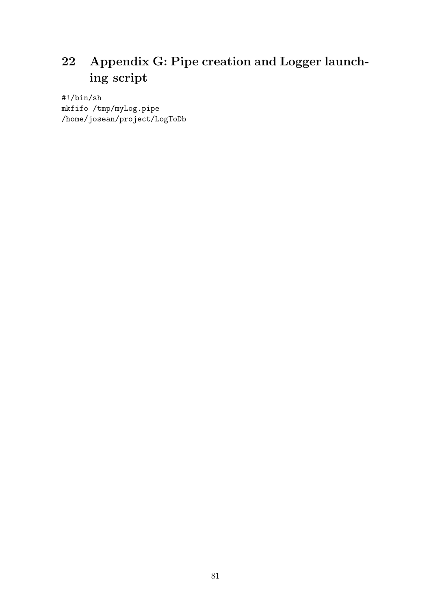# 22 Appendix G: Pipe creation and Logger launching script

#!/bin/sh mkfifo /tmp/myLog.pipe /home/josean/project/LogToDb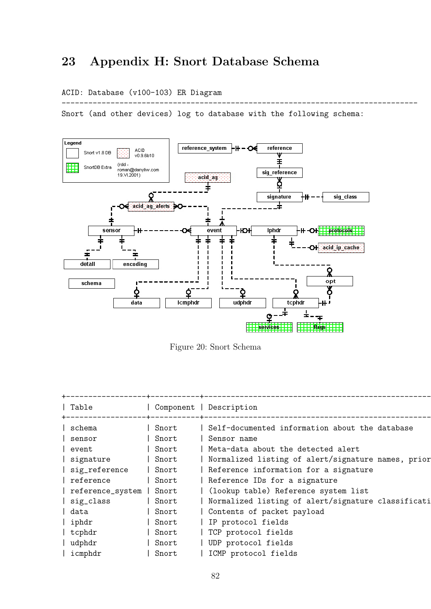# 23 Appendix H: Snort Database Schema

#### ACID: Database (v100-103) ER Diagram

Snort (and other devices) log to database with the following schema:

--------------------------------------------------------------------------------



Figure 20: Snort Schema

| Table            | Component | Description                                        |
|------------------|-----------|----------------------------------------------------|
| schema           | Snort     | Self-documented information about the database     |
| sensor           | Snort     | Sensor name                                        |
| event            | Snort     | Meta-data about the detected alert                 |
| signature        | Snort     | Normalized listing of alert/signature names, prior |
| sig_reference    | Snort     | Reference information for a signature              |
| reference        | Snort     | Reference IDs for a signature                      |
| reference_system | Snort     | (lookup table) Reference system list               |
| sig_class        | Snort     | Normalized listing of alert/signature classificati |
| data             | Snort     | Contents of packet payload                         |
| iphdr            | Snort     | IP protocol fields                                 |
| tcphdr           | Snort     | TCP protocol fields                                |
| udphdr           | Snort     | UDP protocol fields                                |
| icmphdr          | Snort     | ICMP protocol fields                               |
|                  |           |                                                    |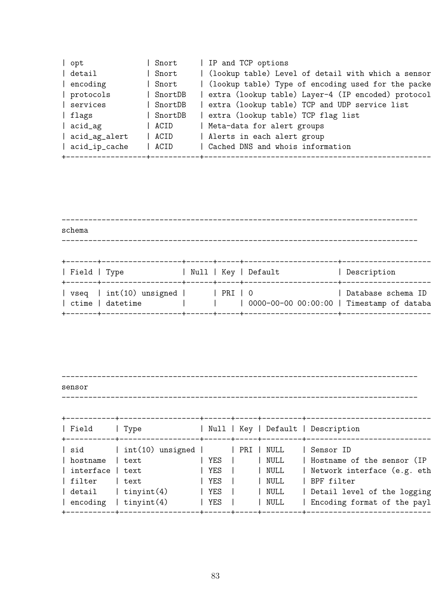| (lookup table) Level of detail with which a sensor<br>detail<br>Snort<br>encoding<br>Snort<br>SnortDB<br>protocols<br>extra (lookup table) TCP and UDP service list<br>services<br>SnortDB<br>extra (lookup table) TCP flag list<br>SnortDB<br>flags<br>Meta-data for alert groups<br>acid_ag<br>ACID<br>Alerts in each alert group<br>acid_ag_alert<br>  ACID<br>Cached DNS and whois information<br>acid_ip_cache<br>ACID | opt | Snort | IP and TCP options |
|-----------------------------------------------------------------------------------------------------------------------------------------------------------------------------------------------------------------------------------------------------------------------------------------------------------------------------------------------------------------------------------------------------------------------------|-----|-------|--------------------|
| (lookup table) Type of encoding used for the packe<br>extra (lookup table) Layer-4 (IP encoded) protocol                                                                                                                                                                                                                                                                                                                    |     |       |                    |
|                                                                                                                                                                                                                                                                                                                                                                                                                             |     |       |                    |
|                                                                                                                                                                                                                                                                                                                                                                                                                             |     |       |                    |
|                                                                                                                                                                                                                                                                                                                                                                                                                             |     |       |                    |
|                                                                                                                                                                                                                                                                                                                                                                                                                             |     |       |                    |
|                                                                                                                                                                                                                                                                                                                                                                                                                             |     |       |                    |
|                                                                                                                                                                                                                                                                                                                                                                                                                             |     |       |                    |
|                                                                                                                                                                                                                                                                                                                                                                                                                             |     |       |                    |
|                                                                                                                                                                                                                                                                                                                                                                                                                             |     |       |                    |

| schema |                                                               |  |                                                   |                    |
|--------|---------------------------------------------------------------|--|---------------------------------------------------|--------------------|
|        |                                                               |  | Field   Type                 Null   Key   Default | Description        |
|        | $vseq$   $int(10)$ unsigned     PRI   0<br>  ctime   datetime |  | 0000-00-00-00 00:00:00   Timestamp of databa      | Database schema ID |

------------------------------------------------------------------------------- sensor

--------------------------------------------------------------------------------

| $int(10)$ unsigned     PRI   NULL<br>Sensor ID<br>NULL<br>Hostname of the sensor (IP<br>YES<br>$ $ text<br>  Network interface (e.g. eth<br>YES<br>NULL<br>text<br>BPF filter<br>  YES<br>NULL<br>  text<br>$\vert$ detail $\vert$ tinyint(4)<br>YES<br>NULL<br>$\vert$ tinyint $(4)$<br>YES<br>NULL | Field                                                      | Type |  | Null   Key   Default   Description                         |
|------------------------------------------------------------------------------------------------------------------------------------------------------------------------------------------------------------------------------------------------------------------------------------------------------|------------------------------------------------------------|------|--|------------------------------------------------------------|
|                                                                                                                                                                                                                                                                                                      | sid<br>  hostname<br>  interface<br>  filter<br>  encoding |      |  | Detail level of the logging<br>Encoding format of the payl |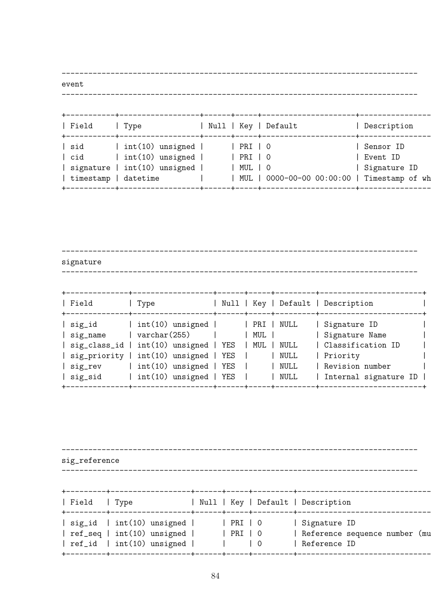------------------------------------------------------------------------------- event

--------------------------------------------------------------------------------

| Field<br>Type                                                                                                              | Null   Key<br>.+------+-----+-- |                                      | Default                               | Description                           |
|----------------------------------------------------------------------------------------------------------------------------|---------------------------------|--------------------------------------|---------------------------------------|---------------------------------------|
| $int(10)$ unsigned  <br>sid<br>$int(10)$ unsigned $ $<br>cid<br>$int(10)$ unsigned  <br>signature<br>datetime<br>timestamp |                                 | PRI   O<br>PRI   0<br>MUL   O<br>MUL | 0000-00-00 00:00:00   Timestamp of wh | Sensor ID<br>Event ID<br>Signature ID |

------------------------------------------------------------------------------- signature

--------------------------------------------------------------------------------

| Field<br>$+ - - - - - - -$                                         | ---------------+------+-----+---------+--<br>Type                                                                                                                                           |                       | ---+------+-----+---------+--------         | Null   Key   Default   Description                                                                              |
|--------------------------------------------------------------------|---------------------------------------------------------------------------------------------------------------------------------------------------------------------------------------------|-----------------------|---------------------------------------------|-----------------------------------------------------------------------------------------------------------------|
| sig_id<br>  sig_name<br>  sig_priority  <br>  sig_rev<br>  sig_sid | $ $ int $(10)$ unsigned $ $<br>$\vert$ varchar $(255)$<br>  sig_class_id   int(10) unsigned   YES<br>$int(10)$ unsigned   YES<br>$ $ int(10) unsigned $ $ YES<br>$ $ int(10) unsigned   YES | PRI  <br>MUL  <br>MUL | NULL<br><b>NULL</b><br>NULL<br>NULL<br>NULL | Signature ID<br>  Signature Name<br>  Classification ID<br>Priority<br>Revision number<br>Internal signature ID |

------------------------------------------------------------------------------- sig\_reference -------------------------------------------------------------------------------- +---------+------------------+------+-----+---------+-------------------------------------------------+ | Field | Type | Null | Key | Default | Description +---------+------------------+------+-----+---------+-------------------------------------------------+ | sig\_id | int(10) unsigned | | | PRI | 0 | | | | Signature ID | ref\_seq | int(10) unsigned | | | PRI | 0 | | | | Reference sequence number (mu | ref\_id | int(10) unsigned | | | 0 | Reference ID | +---------+------------------+------+-----+---------+-------------------------------------------------+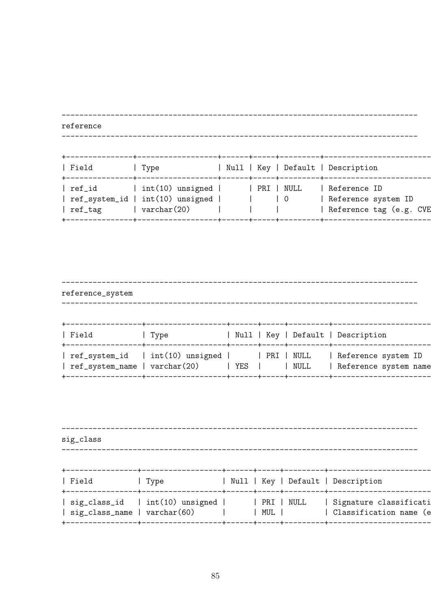reference | Type | Field | Null | Key | Default | Description | ref\_id | int(10) unsigned | | | PRI | NULL | Reference ID<br>| ref\_system\_id | int(10) unsigned | | | | 0 | | Reference system ID<br>| ref\_tag | varchar(20) | | | | | | | | | Reference tag (e.g. Reference tag (e.g. CVE

| reference_system              |                                                 |     |      |                                              |
|-------------------------------|-------------------------------------------------|-----|------|----------------------------------------------|
| Field                         | . Type                                          |     |      | Null   Key   Default   Description           |
| ref_system_name   varchar(20) | ref_system_id   int(10) unsigned     PRI   NULL | YES | NULL | Reference system ID<br>Reference system name |

| sig_class |                              |  |                                    |
|-----------|------------------------------|--|------------------------------------|
|           |                              |  |                                    |
| Field     | Type                         |  | Null   Key   Default   Description |
|           | sig_class_name   varchar(60) |  | MUL         Classification name (e |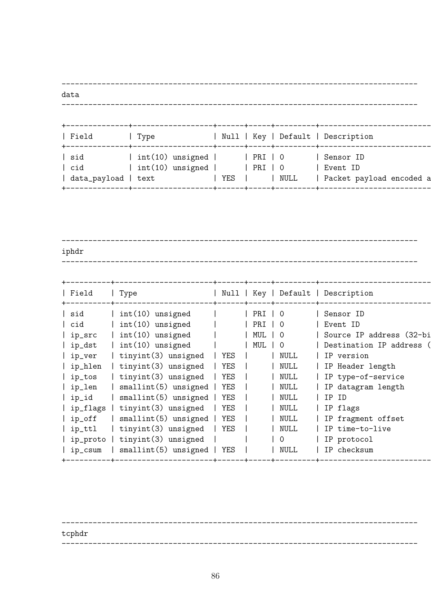------------------------------------------------------------------------------- data

--------------------------------------------------------------------------------

| $int(10)$ unsigned  <br>  sid<br>Sensor ID<br>  PRI   O<br>$int(10)$ unsigned  <br>cid<br>PRI   O<br>Event ID<br>YES<br>NULL<br>text | Field        | Type |  | Null   Key   Default   Description |
|--------------------------------------------------------------------------------------------------------------------------------------|--------------|------|--|------------------------------------|
|                                                                                                                                      | data_payload |      |  | Packet payload encoded a           |

------------------------------------------------------------------------------- iphdr --------------------------------------------------------------------------------

------------------------------------------------------------------------------- tcphdr --------------------------------------------------------------------------------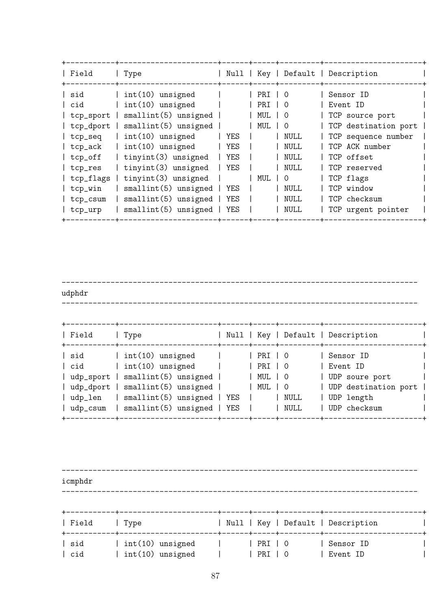| Field                                                                                                              | Type                                                                                                                                                                                                                                                                                                            |                                                                             |                                            |                                                                                                                                               | Null   Key   Default   Description                                                                                                                                                                       |
|--------------------------------------------------------------------------------------------------------------------|-----------------------------------------------------------------------------------------------------------------------------------------------------------------------------------------------------------------------------------------------------------------------------------------------------------------|-----------------------------------------------------------------------------|--------------------------------------------|-----------------------------------------------------------------------------------------------------------------------------------------------|----------------------------------------------------------------------------------------------------------------------------------------------------------------------------------------------------------|
| sid<br>cid<br>tcp_sport<br>tcp_seq<br>tcp_ack<br>tcp_off<br>tcp_res<br>tcp_flags<br>tcp_win<br>tcp_csum<br>tcp_urp | $int(10)$ unsigned<br>$int(10)$ unsigned<br>$smallint(5)$ unsigned  <br>tcp_dport   smallint(5) unsigned  <br>$int(10)$ unsigned<br>$int(10)$ unsigned<br>tinyint(3) unsigned<br>$tinyint(3)$ unsigned<br>tinyint(3) unsigned<br>$smallint(5)$ unsigned  <br>$smallint(5)$ unsigned  <br>$smallint(5)$ unsigned | <b>YES</b><br>YES<br>  YES<br>YES<br><b>YES</b><br><b>YES</b><br><b>YES</b> | PRI   O<br>PRI<br><b>MUL</b><br>MUL<br>MUL | $\overline{0}$<br>0<br>$\Omega$<br><b>NULL</b><br><b>NULL</b><br><b>NULL</b><br><b>NULL</b><br>0<br><b>NULL</b><br><b>NULL</b><br><b>NULL</b> | Sensor ID<br>Event ID<br>TCP source port<br>TCP destination port<br>TCP sequence number<br>TCP ACK number<br>TCP offset<br>TCP reserved<br>TCP flags<br>TCP window<br>TCP checksum<br>TCP urgent pointer |

------------------------------------------------------------------------------- udphdr -------------------------------------------------------------------------------- +-----------+----------------------+------+-----+---------+----------------------+ | Field | Type | Null | Key | Default | Description | | +-----------+----------------------+------+-----+---------+----------------------+ | sid | int(10) unsigned | | | PRI | 0 | | Sensor ID | | | cid | int(10) unsigned | | | PRI | 0 | | Event ID | | | udp\_sport | smallint(5) unsigned | | | MUL | 0 | | | UDP soure port | | udp\_dport | smallint(5) unsigned | | | MUL | 0 | | UDP destination port | | udp\_len | smallint(5) unsigned | YES | | | NULL | UDP length | | udp\_csum | smallint(5) unsigned | YES | | | NULL | UDP checksum | +-----------+----------------------+------+-----+---------+----------------------+

------------------------------------------------------------------------------- icmphdr -------------------------------------------------------------------------------- +-----------+----------------------+------+-----+---------+----------------------+ | Field | Type | Null | Key | Default | Description | | +-----------+----------------------+------+-----+---------+----------------------+ | sid | int(10) unsigned | | | PRI | 0 | | Sensor ID | | | cid | int(10) unsigned | | | PRI | 0 | | Event ID | |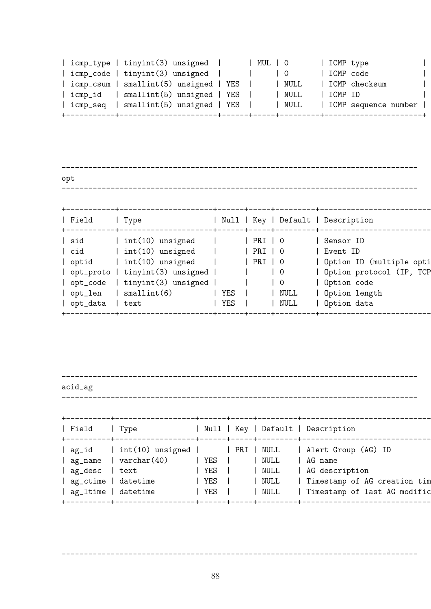|  | icmp_type   tinyint(3) unsigned        |  | MUL   0 |      | ICMP type |                      |  |
|--|----------------------------------------|--|---------|------|-----------|----------------------|--|
|  | icmp_code   tinyint(3) unsigned        |  |         |      | ICMP code |                      |  |
|  | icmp_csum   smallint(5) unsigned   YES |  |         | NULL |           | ICMP checksum        |  |
|  | icmp_id   smallint(5) unsigned   YES   |  |         | NULL | l ICMP ID |                      |  |
|  | icmp_seq   smallint(5) unsigned   YES  |  |         | NULL |           | ICMP sequence number |  |
|  |                                        |  |         |      |           |                      |  |

| opt   |                                 |         |                                  |                                    |
|-------|---------------------------------|---------|----------------------------------|------------------------------------|
|       |                                 |         |                                  |                                    |
| Field | Type                            |         |                                  | Null   Key   Default   Description |
| sid   | int(10) unsigned                | PRI   O |                                  | Sensor ID                          |
| cid   | int(10) unsigned                | PRI   0 |                                  | Event ID                           |
| optid | $ $ int $(10)$ unsigned         | PRI   0 |                                  | Option ID (multiple opti           |
|       | opt_proto   tinyint(3) unsigned |         | $\begin{array}{c} 0 \end{array}$ | Option protocol (IP, TCP           |

| opt\_code | tinyint(3) unsigned | | | 0 | Option code | | opt\_len | smallint(6) | YES | | NULL | Option length |

------------------------------------------------------------------------------- acid\_ag

+-----------+---------------------+------+-----+---------+----------------------------------------+

| opt\_data | text | YES | | NULL | Option data

--------------------------------------------------------------------------------

| Null   Key   Default   Description<br>  Field<br>  Type<br>  ag_name   varchar(40)<br>NULL<br>$ $ YES $ $<br>AG name<br>  AG description<br>ag_desc  <br>  NULL<br>  YES  <br>  text<br>  ag_ctime   datetime<br>  NULL<br>$ $ YES $ $<br>  ag_ltime   datetime<br>  NULL<br>  YES |  |  |  |                                                              |
|------------------------------------------------------------------------------------------------------------------------------------------------------------------------------------------------------------------------------------------------------------------------------------|--|--|--|--------------------------------------------------------------|
|                                                                                                                                                                                                                                                                                    |  |  |  |                                                              |
|                                                                                                                                                                                                                                                                                    |  |  |  | Timestamp of AG creation tim<br>Timestamp of last AG modific |

--------------------------------------------------------------------------------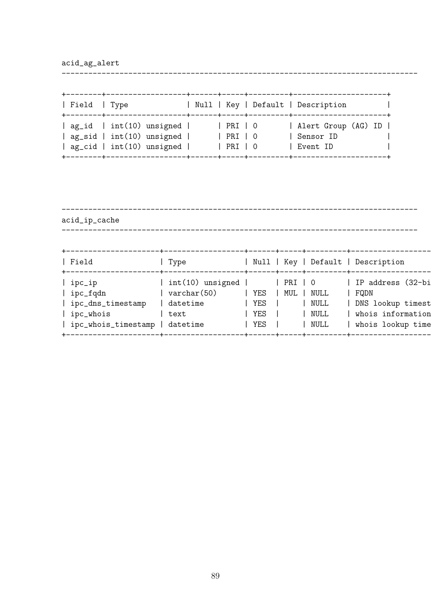acid\_ag\_alert

| Field   Type | +--------+---------------                                                                                                                            |                                                 | Null   Key   Default   Description<br>---+------+-----+---------+----------- |
|--------------|------------------------------------------------------------------------------------------------------------------------------------------------------|-------------------------------------------------|------------------------------------------------------------------------------|
|              | $\vert$ ag_id $\vert$ int(10) unsigned $\vert$<br>$\vert$ ag_sid $\vert$ int(10) unsigned $\vert$<br>$\vert$ ag_cid $\vert$ int(10) unsigned $\vert$ | $ $ PRI $ $ 0<br>$ $ PRI $ $ 0<br>$ $ PRI $ $ 0 | Alert Group (AG) ID  <br>Sensor ID<br>  Event ID                             |

--------------------------------------------------------------------------------

------------------------------------------------------------------------------- acid\_ip\_cache --------------------------------------------------------------------------------

| Field<br>$+ - - - - - - - -$                                                    | Type                                                                |                          |                |                              | Null   Key   Default   Description                                                       |
|---------------------------------------------------------------------------------|---------------------------------------------------------------------|--------------------------|----------------|------------------------------|------------------------------------------------------------------------------------------|
| ipc_ip<br>ipc_fqdn<br>ipc_dns_timestamp  <br>ipc_whois<br>  ipc_whois_timestamp | $int(10)$ unsigned  <br>varchar(50)<br>datetime<br>text<br>datetime | YES<br>YES<br>YES<br>YES | PRI   O<br>MUL | NULL<br>NULL<br>NULL<br>NULL | IP address (32-bi<br>FQDN<br>DNS lookup timest<br>whois information<br>whois lookup time |
|                                                                                 |                                                                     |                          |                |                              |                                                                                          |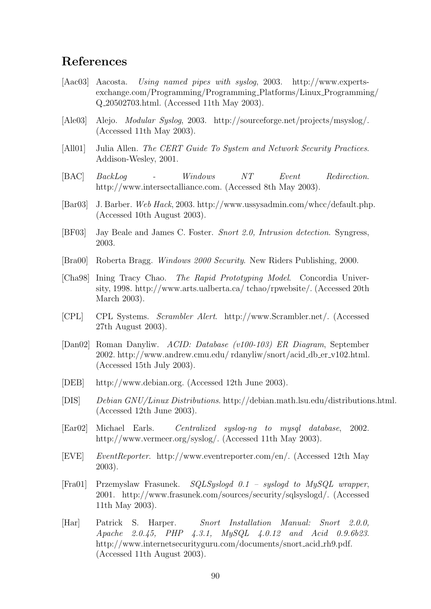#### References

- [Aac03] Aacosta. Using named pipes with syslog, 2003. http://www.expertsexchange.com/Programming/Programming Platforms/Linux Programming/ Q 20502703.html. (Accessed 11th May 2003).
- [Ale03] Alejo. Modular Syslog, 2003. http://sourceforge.net/projects/msyslog/. (Accessed 11th May 2003).
- [All01] Julia Allen. The CERT Guide To System and Network Security Practices. Addison-Wesley, 2001.
- [BAC] BackLog Windows NT Event Redirection. http://www.intersectalliance.com. (Accessed 8th May 2003).
- [Bar03] J. Barber. Web Hack, 2003. http://www.ussysadmin.com/whcc/default.php. (Accessed 10th August 2003).
- [BF03] Jay Beale and James C. Foster. Snort 2.0, Intrusion detection. Syngress, 2003.
- [Bra00] Roberta Bragg. Windows 2000 Security. New Riders Publishing, 2000.
- [Cha98] Ining Tracy Chao. The Rapid Prototyping Model. Concordia University, 1998. http://www.arts.ualberta.ca/ tchao/rpwebsite/. (Accessed 20th March 2003).
- [CPL] CPL Systems. Scrambler Alert. http://www.Scrambler.net/. (Accessed 27th August 2003).
- [Dan02] Roman Danyliw. ACID: Database (v100-103) ER Diagram, September 2002. http://www.andrew.cmu.edu/ rdanyliw/snort/acid db er v102.html. (Accessed 15th July 2003).
- [DEB] http://www.debian.org. (Accessed 12th June 2003).
- [DIS] Debian GNU/Linux Distributions. http://debian.math.lsu.edu/distributions.html. (Accessed 12th June 2003).
- [Ear02] Michael Earls. Centralized syslog-ng to mysql database, 2002. http://www.vermeer.org/syslog/. (Accessed 11th May 2003).
- [EVE] EventReporter. http://www.eventreporter.com/en/. (Accessed 12th May 2003).
- [Fra01] Przemyslaw Frasunek. SQLSyslogd 0.1 syslogd to MySQL wrapper, 2001. http://www.frasunek.com/sources/security/sqlsyslogd/. (Accessed 11th May 2003).
- [Har] Patrick S. Harper. Snort Installation Manual: Snort 2.0.0, Apache 2.0.45, PHP 4.3.1, MySQL 4.0.12 and Acid 0.9.6b23. http://www.internetsecurityguru.com/documents/snort acid rh9.pdf. (Accessed 11th August 2003).